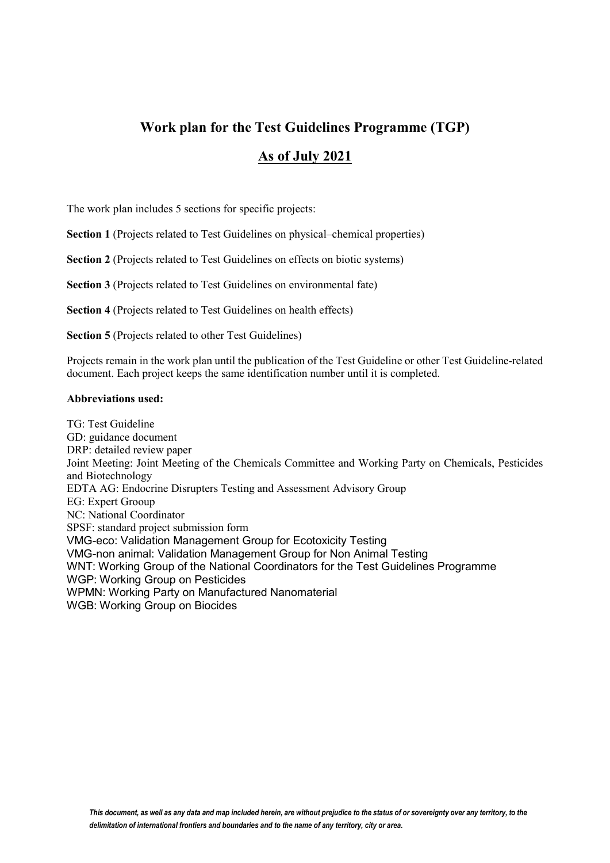# **Work plan for the Test Guidelines Programme (TGP) As of July 2021**

The work plan includes 5 sections for specific projects:

**Section 1** (Projects related to Test Guidelines on physical–chemical properties)

**Section 2** (Projects related to Test Guidelines on effects on biotic systems)

**Section 3** (Projects related to Test Guidelines on environmental fate)

**Section 4** (Projects related to Test Guidelines on health effects)

**Section 5** (Projects related to other Test Guidelines)

Projects remain in the work plan until the publication of the Test Guideline or other Test Guideline-related document. Each project keeps the same identification number until it is completed.

#### **Abbreviations used:**

TG: Test Guideline GD: guidance document DRP: detailed review paper Joint Meeting: Joint Meeting of the Chemicals Committee and Working Party on Chemicals, Pesticides and Biotechnology EDTA AG: Endocrine Disrupters Testing and Assessment Advisory Group EG: Expert Grooup NC: National Coordinator SPSF: standard project submission form VMG-eco: Validation Management Group for Ecotoxicity Testing VMG-non animal: Validation Management Group for Non Animal Testing WNT: Working Group of the National Coordinators for the Test Guidelines Programme WGP: Working Group on Pesticides WPMN: Working Party on Manufactured Nanomaterial WGB: Working Group on Biocides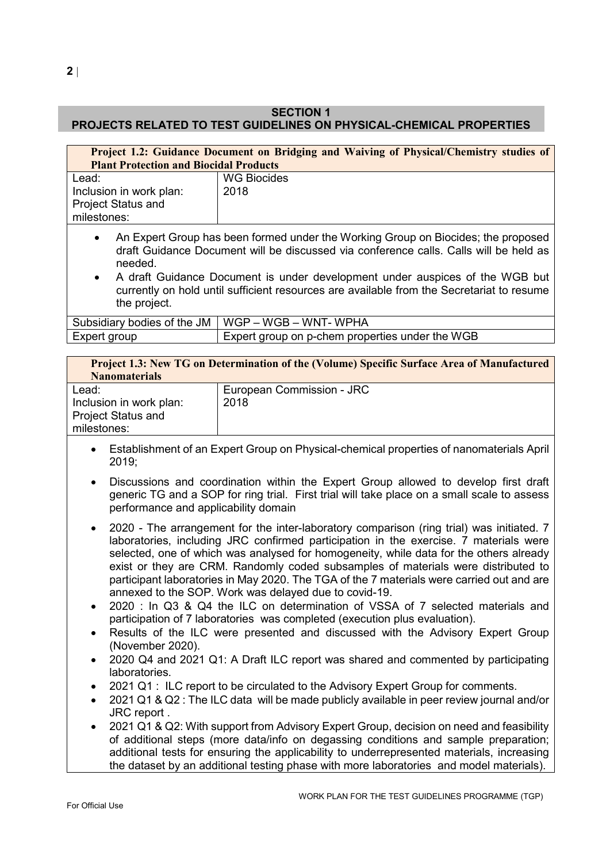# **SECTION 1**

# **PROJECTS RELATED TO TEST GUIDELINES ON PHYSICAL-CHEMICAL PROPERTIES**

| Project 1.2: Guidance Document on Bridging and Waiving of Physical/Chemistry studies of<br><b>Plant Protection and Biocidal Products</b> |                                                                                                                                                                                                                                                                                                                                                         |
|------------------------------------------------------------------------------------------------------------------------------------------|---------------------------------------------------------------------------------------------------------------------------------------------------------------------------------------------------------------------------------------------------------------------------------------------------------------------------------------------------------|
| Lead:<br>Inclusion in work plan:<br><b>Project Status and</b><br>milestones:                                                             | <b>WG Biocides</b><br>2018                                                                                                                                                                                                                                                                                                                              |
| $\bullet$<br>needed.<br>$\bullet$<br>the project.                                                                                        | An Expert Group has been formed under the Working Group on Biocides; the proposed<br>draft Guidance Document will be discussed via conference calls. Calls will be held as<br>A draft Guidance Document is under development under auspices of the WGB but<br>currently on hold until sufficient resources are available from the Secretariat to resume |
| Subsidiary bodies of the JM                                                                                                              | WGP - WGB - WNT- WPHA                                                                                                                                                                                                                                                                                                                                   |
| Expert group                                                                                                                             | Expert group on p-chem properties under the WGB                                                                                                                                                                                                                                                                                                         |

| <b>Project 1.3: New TG on Determination of the (Volume) Specific Surface Area of Manufactured</b><br><b>Nanomaterials</b> |                           |
|---------------------------------------------------------------------------------------------------------------------------|---------------------------|
| Lead:                                                                                                                     | European Commission - JRC |
| Inclusion in work plan:                                                                                                   | 2018                      |
| <b>Project Status and</b>                                                                                                 |                           |
| milestones:                                                                                                               |                           |

- Establishment of an Expert Group on Physical-chemical properties of nanomaterials April 2019;
- Discussions and coordination within the Expert Group allowed to develop first draft generic TG and a SOP for ring trial. First trial will take place on a small scale to assess performance and applicability domain
- 2020 The arrangement for the inter-laboratory comparison (ring trial) was initiated. 7 laboratories, including JRC confirmed participation in the exercise. 7 materials were selected, one of which was analysed for homogeneity, while data for the others already exist or they are CRM. Randomly coded subsamples of materials were distributed to participant laboratories in May 2020. The TGA of the 7 materials were carried out and are annexed to the SOP. Work was delayed due to covid-19.
- 2020 : In Q3 & Q4 the ILC on determination of VSSA of 7 selected materials and participation of 7 laboratories was completed (execution plus evaluation).
- Results of the ILC were presented and discussed with the Advisory Expert Group (November 2020).
- 2020 Q4 and 2021 Q1: A Draft ILC report was shared and commented by participating laboratories.
- 2021 Q1 : ILC report to be circulated to the Advisory Expert Group for comments.
- 2021 Q1 & Q2 : The ILC data will be made publicly available in peer review journal and/or JRC report .
- 2021 Q1 & Q2: With support from Advisory Expert Group, decision on need and feasibility of additional steps (more data/info on degassing conditions and sample preparation; additional tests for ensuring the applicability to underrepresented materials, increasing the dataset by an additional testing phase with more laboratories and model materials).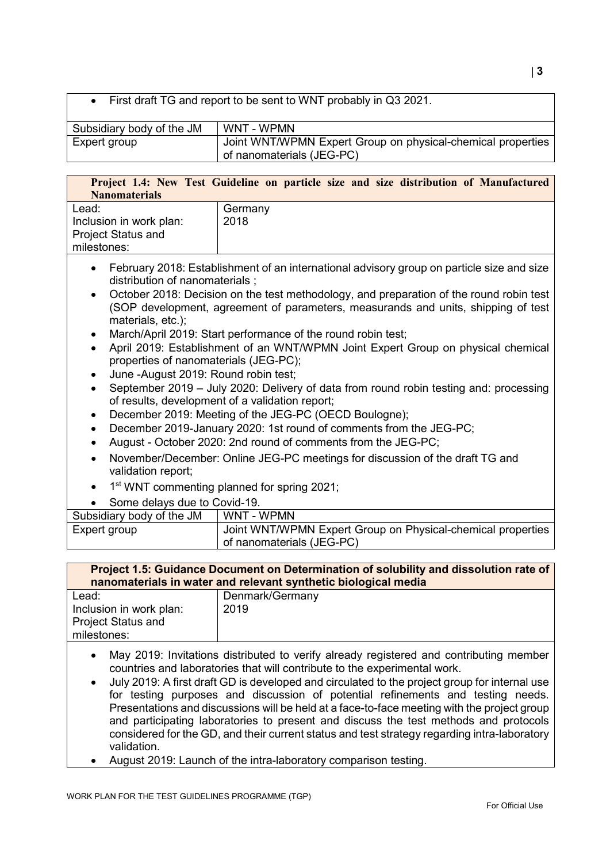• First draft TG and report to be sent to WNT probably in Q3 2021.

| Subsidiary body of the JM | WNT - WPMN                                                                               |
|---------------------------|------------------------------------------------------------------------------------------|
| Expert group              | Joint WNT/WPMN Expert Group on physical-chemical properties<br>of nanomaterials (JEG-PC) |

**Project 1.4: New Test Guideline on particle size and size distribution of Manufactured Nanomaterials**

| Lead:<br>Inclusion in work plan:<br><b>Project Status and</b><br>milestones: | Germany<br>2018 |
|------------------------------------------------------------------------------|-----------------|
|                                                                              |                 |

- February 2018: Establishment of an international advisory group on particle size and size distribution of nanomaterials ;
- October 2018: Decision on the test methodology, and preparation of the round robin test (SOP development, agreement of parameters, measurands and units, shipping of test materials, etc.);
- March/April 2019: Start performance of the round robin test;
- April 2019: Establishment of an WNT/WPMN Joint Expert Group on physical chemical properties of nanomaterials (JEG-PC);
- June -August 2019: Round robin test;
- September 2019 July 2020: Delivery of data from round robin testing and: processing of results, development of a validation report;
- December 2019: Meeting of the JEG-PC (OECD Boulogne);
- December 2019-January 2020: 1st round of comments from the JEG-PC;
- August October 2020: 2nd round of comments from the JEG-PC;
- November/December: Online JEG-PC meetings for discussion of the draft TG and validation report;
- 1<sup>st</sup> WNT commenting planned for spring 2021;
- Some delays due to Covid-19.

| Subsidiary body of the JM | WNT - WPMN                                                                               |
|---------------------------|------------------------------------------------------------------------------------------|
| Expert group              | Joint WNT/WPMN Expert Group on Physical-chemical properties<br>of nanomaterials (JEG-PC) |

# **Project 1.5: Guidance Document on Determination of solubility and dissolution rate of nanomaterials in water and relevant synthetic biological media**

| Lead:                     | Denmark/Germany |
|---------------------------|-----------------|
| Inclusion in work plan:   | 2019            |
| <b>Project Status and</b> |                 |
| milestones:               |                 |

- May 2019: Invitations distributed to verify already registered and contributing member countries and laboratories that will contribute to the experimental work.
- July 2019: A first draft GD is developed and circulated to the project group for internal use for testing purposes and discussion of potential refinements and testing needs. Presentations and discussions will be held at a face-to-face meeting with the project group and participating laboratories to present and discuss the test methods and protocols considered for the GD, and their current status and test strategy regarding intra-laboratory validation.
- August 2019: Launch of the intra-laboratory comparison testing.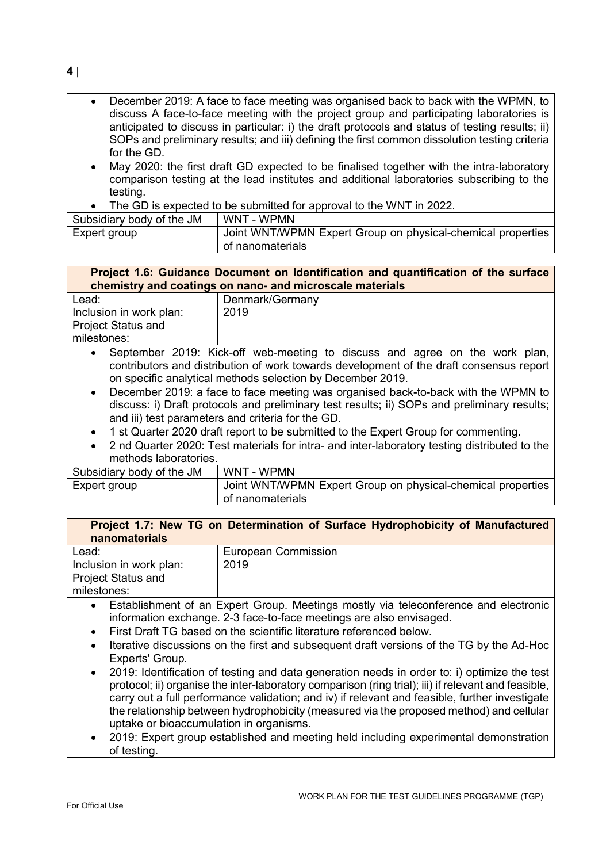• December 2019: A face to face meeting was organised back to back with the WPMN, to discuss A face-to-face meeting with the project group and participating laboratories is anticipated to discuss in particular: i) the draft protocols and status of testing results; ii) SOPs and preliminary results; and iii) defining the first common dissolution testing criteria for the GD.

- May 2020: the first draft GD expected to be finalised together with the intra-laboratory comparison testing at the lead institutes and additional laboratories subscribing to the testing.
- The GD is expected to be submitted for approval to the WNT in 2022.

| Subsidiary body of the JM | WNT - WPMN                                                  |
|---------------------------|-------------------------------------------------------------|
| Expert group              | Joint WNT/WPMN Expert Group on physical-chemical properties |
|                           | of nanomaterials                                            |

# **Project 1.6: Guidance Document on Identification and quantification of the surface chemistry and coatings on nano- and microscale materials**

| Lead:                     | Denmark/Germany |
|---------------------------|-----------------|
|                           |                 |
| Inclusion in work plan:   | 2019            |
|                           |                 |
|                           |                 |
| <b>Project Status and</b> |                 |
|                           |                 |
| milestones:               |                 |
|                           |                 |

- September 2019: Kick-off web-meeting to discuss and agree on the work plan, contributors and distribution of work towards development of the draft consensus report on specific analytical methods selection by December 2019.
- December 2019: a face to face meeting was organised back-to-back with the WPMN to discuss: i) Draft protocols and preliminary test results; ii) SOPs and preliminary results; and iii) test parameters and criteria for the GD.
- 1 st Quarter 2020 draft report to be submitted to the Expert Group for commenting.
- 2 nd Quarter 2020: Test materials for intra- and inter-laboratory testing distributed to the methods laboratories.

| Subsidiary body of the JM | WNT - WPMN                                                    |
|---------------------------|---------------------------------------------------------------|
| Expert group              | Joint WNT/WPMN Expert Group on physical-chemical properties ' |
|                           | of nanomaterials                                              |

# **Project 1.7: New TG on Determination of Surface Hydrophobicity of Manufactured nanomaterials**

| Lead:                     | <b>European Commission</b> |
|---------------------------|----------------------------|
| Inclusion in work plan:   | 2019                       |
| <b>Project Status and</b> |                            |
| milestones:               |                            |

- Establishment of an Expert Group. Meetings mostly via teleconference and electronic information exchange. 2-3 face-to-face meetings are also envisaged.
- First Draft TG based on the scientific literature referenced below.
- Iterative discussions on the first and subsequent draft versions of the TG by the Ad-Hoc Experts' Group.
- 2019: Identification of testing and data generation needs in order to: i) optimize the test protocol; ii) organise the inter-laboratory comparison (ring trial); iii) if relevant and feasible, carry out a full performance validation; and iv) if relevant and feasible, further investigate the relationship between hydrophobicity (measured via the proposed method) and cellular uptake or bioaccumulation in organisms.
- 2019: Expert group established and meeting held including experimental demonstration of testing.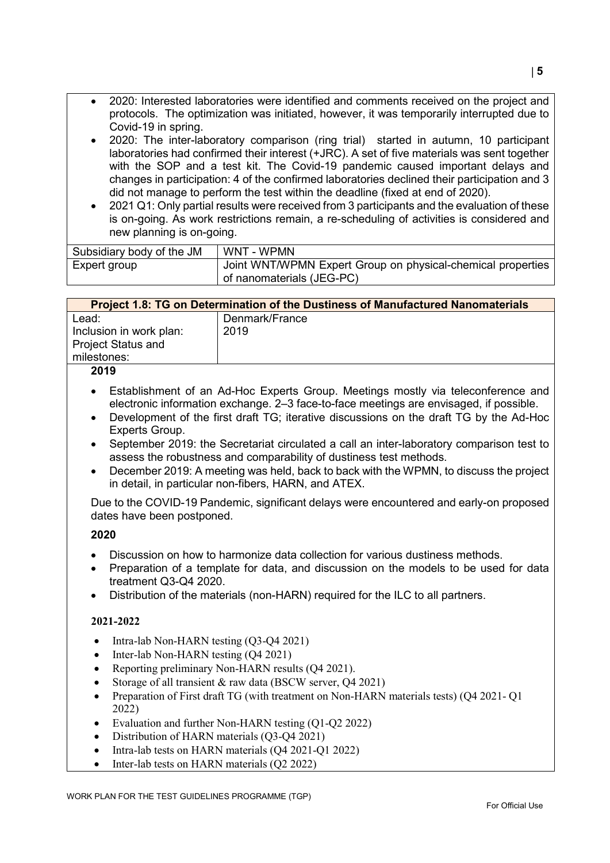- 2020: Interested laboratories were identified and comments received on the project and protocols. The optimization was initiated, however, it was temporarily interrupted due to Covid-19 in spring.
- 2020: The inter-laboratory comparison (ring trial) started in autumn, 10 participant laboratories had confirmed their interest (+JRC). A set of five materials was sent together with the SOP and a test kit. The Covid-19 pandemic caused important delays and changes in participation: 4 of the confirmed laboratories declined their participation and 3 did not manage to perform the test within the deadline (fixed at end of 2020).
- 2021 Q1: Only partial results were received from 3 participants and the evaluation of these is on-going. As work restrictions remain, a re-scheduling of activities is considered and new planning is on-going.

| Subsidiary body of the JM | WNT - WPMN                                                                               |
|---------------------------|------------------------------------------------------------------------------------------|
| Expert group              | Joint WNT/WPMN Expert Group on physical-chemical properties<br>of nanomaterials (JEG-PC) |

| <b>Project 1.8: TG on Determination of the Dustiness of Manufactured Nanomaterials</b> |                |
|----------------------------------------------------------------------------------------|----------------|
| Lead:                                                                                  | Denmark/France |
| Inclusion in work plan:                                                                | 2019           |
| <b>Project Status and</b>                                                              |                |
| milestones:                                                                            |                |
| <b>ODJO</b>                                                                            |                |

#### **2019**

- Establishment of an Ad-Hoc Experts Group. Meetings mostly via teleconference and electronic information exchange. 2‒3 face-to-face meetings are envisaged, if possible.
- Development of the first draft TG; iterative discussions on the draft TG by the Ad-Hoc Experts Group.
- September 2019: the Secretariat circulated a call an inter-laboratory comparison test to assess the robustness and comparability of dustiness test methods.
- December 2019: A meeting was held, back to back with the WPMN, to discuss the project in detail, in particular non-fibers, HARN, and ATEX.

Due to the COVID-19 Pandemic, significant delays were encountered and early-on proposed dates have been postponed.

#### **2020**

- Discussion on how to harmonize data collection for various dustiness methods.
- Preparation of a template for data, and discussion on the models to be used for data treatment Q3-Q4 2020.
- Distribution of the materials (non-HARN) required for the ILC to all partners.

# **2021-2022**

- Intra-lab Non-HARN testing (Q3-Q4 2021)
- Inter-lab Non-HARN testing (Q4 2021)
- Reporting preliminary Non-HARN results (Q4 2021).
- Storage of all transient & raw data (BSCW server, O4 2021)
- Preparation of First draft TG (with treatment on Non-HARN materials tests) (Q4 2021- Q1 2022)
- Evaluation and further Non-HARN testing (Q1-Q2 2022)
- Distribution of HARN materials (Q3-Q4 2021)
- Intra-lab tests on HARN materials (Q4 2021-Q1 2022)
- Inter-lab tests on HARN materials (Q2 2022)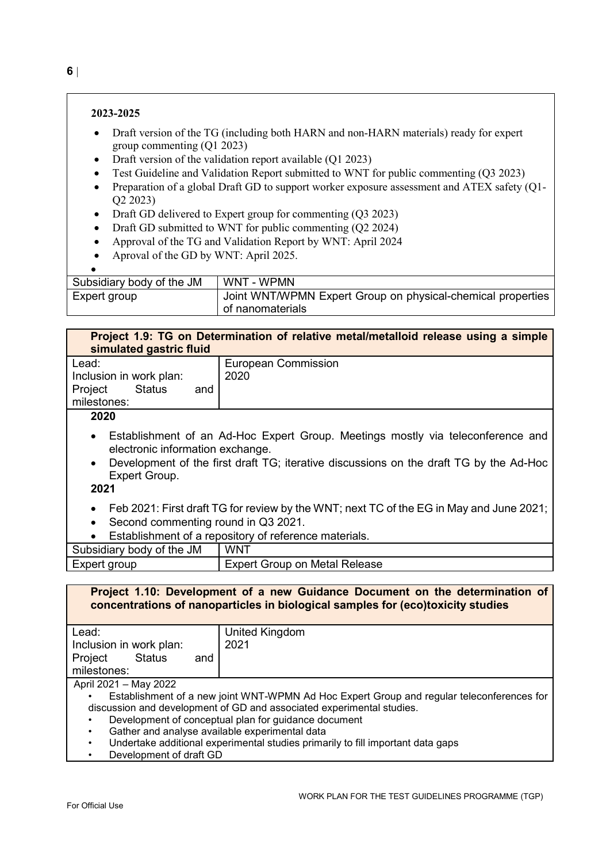#### **2023-2025**

- Draft version of the TG (including both HARN and non-HARN materials) ready for expert group commenting (Q1 2023)
- Draft version of the validation report available (Q1 2023)
- Test Guideline and Validation Report submitted to WNT for public commenting (Q3 2023)
- Preparation of a global Draft GD to support worker exposure assessment and ATEX safety (Q1-Q2 2023)
- Draft GD delivered to Expert group for commenting (Q3 2023)
- Draft GD submitted to WNT for public commenting (Q2 2024)
- Approval of the TG and Validation Report by WNT: April 2024
- Aproval of the GD by WNT: April 2025.

| Subsidiary body of the JM | WNT - WPMN                                                                      |
|---------------------------|---------------------------------------------------------------------------------|
| Expert group              | Joint WNT/WPMN Expert Group on physical-chemical properties<br>of nanomaterials |

| simulated gastric fluid                                                                 | Project 1.9: TG on Determination of relative metal/metalloid release using a simple                                                                                       |  |
|-----------------------------------------------------------------------------------------|---------------------------------------------------------------------------------------------------------------------------------------------------------------------------|--|
| Lead:                                                                                   | <b>European Commission</b>                                                                                                                                                |  |
| Inclusion in work plan:                                                                 | 2020                                                                                                                                                                      |  |
| <b>Status</b><br>Project<br>and                                                         |                                                                                                                                                                           |  |
| milestones:                                                                             |                                                                                                                                                                           |  |
| 2020                                                                                    |                                                                                                                                                                           |  |
| $\bullet$<br>electronic information exchange.<br>$\bullet$<br>Expert Group.<br>2021     | Establishment of an Ad-Hoc Expert Group. Meetings mostly via teleconference and<br>Development of the first draft TG; iterative discussions on the draft TG by the Ad-Hoc |  |
| Feb 2021: First draft TG for review by the WNT; next TC of the EG in May and June 2021; |                                                                                                                                                                           |  |
| Second commenting round in Q3 2021.<br>$\bullet$                                        |                                                                                                                                                                           |  |
| $\bullet$                                                                               | Establishment of a repository of reference materials.                                                                                                                     |  |
| Subsidiary body of the JM                                                               | WNT                                                                                                                                                                       |  |
| Expert group                                                                            | <b>Expert Group on Metal Release</b>                                                                                                                                      |  |

|                                                                       | Project 1.10: Development of a new Guidance Document on the determination of<br>concentrations of nanoparticles in biological samples for (eco)toxicity studies |  |
|-----------------------------------------------------------------------|-----------------------------------------------------------------------------------------------------------------------------------------------------------------|--|
| Lead:                                                                 | United Kingdom                                                                                                                                                  |  |
| Inclusion in work plan:                                               | 2021                                                                                                                                                            |  |
| <b>Status</b><br>Project<br>and                                       |                                                                                                                                                                 |  |
| milestones:                                                           |                                                                                                                                                                 |  |
| April 2021 - May 2022                                                 |                                                                                                                                                                 |  |
|                                                                       | Establishment of a new joint WNT-WPMN Ad Hoc Expert Group and regular teleconferences for                                                                       |  |
| discussion and development of GD and associated experimental studies. |                                                                                                                                                                 |  |
|                                                                       | Development of conceptual plan for guidance document                                                                                                            |  |
| Gather and analyse available experimental data<br>٠                   |                                                                                                                                                                 |  |
| ٠                                                                     | Undertake additional experimental studies primarily to fill important data gaps                                                                                 |  |
| Development of draft GD                                               |                                                                                                                                                                 |  |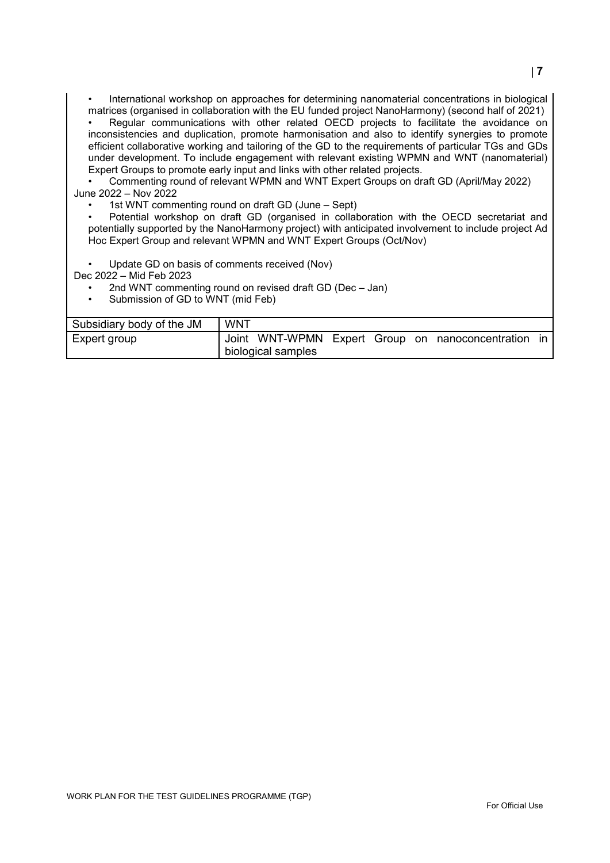• International workshop on approaches for determining nanomaterial concentrations in biological matrices (organised in collaboration with the EU funded project NanoHarmony) (second half of 2021)

Regular communications with other related OECD projects to facilitate the avoidance on inconsistencies and duplication, promote harmonisation and also to identify synergies to promote efficient collaborative working and tailoring of the GD to the requirements of particular TGs and GDs under development. To include engagement with relevant existing WPMN and WNT (nanomaterial) Expert Groups to promote early input and links with other related projects.

• Commenting round of relevant WPMN and WNT Expert Groups on draft GD (April/May 2022) June 2022 – Nov 2022

1st WNT commenting round on draft GD (June – Sept)

• Potential workshop on draft GD (organised in collaboration with the OECD secretariat and potentially supported by the NanoHarmony project) with anticipated involvement to include project Ad Hoc Expert Group and relevant WPMN and WNT Expert Groups (Oct/Nov)

Update GD on basis of comments received (Nov)

Dec 2022 – Mid Feb 2023

- 2nd WNT commenting round on revised draft GD (Dec Jan)
- Submission of GD to WNT (mid Feb)

| Subsidiary body of the JM | <b>WNT</b> |                    |  |                                                     |  |
|---------------------------|------------|--------------------|--|-----------------------------------------------------|--|
| Expert group              |            |                    |  | Joint WNT-WPMN Expert Group on nanoconcentration in |  |
|                           |            | biological samples |  |                                                     |  |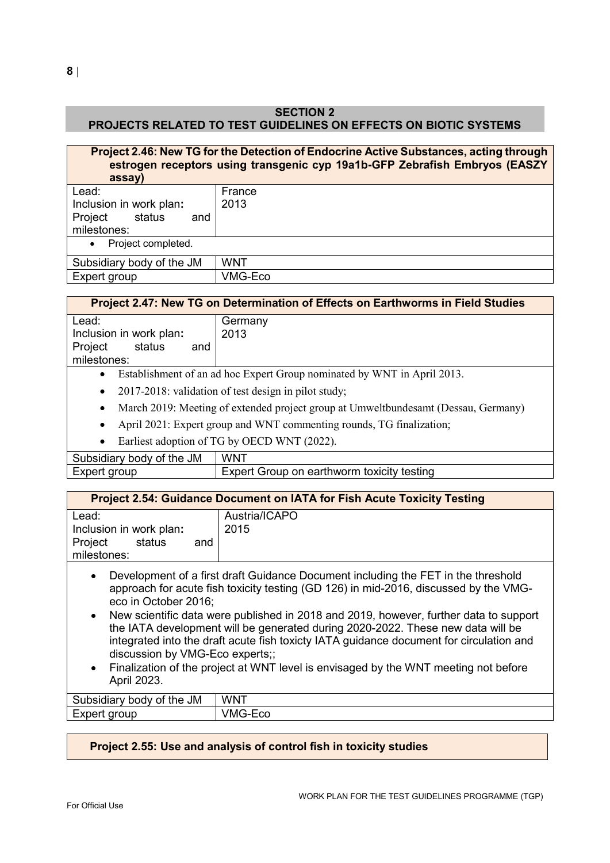# **SECTION 2 PROJECTS RELATED TO TEST GUIDELINES ON EFFECTS ON BIOTIC SYSTEMS**

| Project 2.46: New TG for the Detection of Endocrine Active Substances, acting through<br>estrogen receptors using transgenic cyp 19a1b-GFP Zebrafish Embryos (EASZY<br>assay) |            |  |  |
|-------------------------------------------------------------------------------------------------------------------------------------------------------------------------------|------------|--|--|
| Lead:                                                                                                                                                                         | France     |  |  |
| Inclusion in work plan:                                                                                                                                                       | 2013       |  |  |
| Project<br>status<br>and<br>milestones:                                                                                                                                       |            |  |  |
| Project completed.<br>$\bullet$                                                                                                                                               |            |  |  |
| Subsidiary body of the JM                                                                                                                                                     | <b>WNT</b> |  |  |
| Expert group                                                                                                                                                                  | VMG-Eco    |  |  |

# **Project 2.47: New TG on Determination of Effects on Earthworms in Field Studies**

| Lead:                    | Germany                                                                            |
|--------------------------|------------------------------------------------------------------------------------|
| Inclusion in work plan:  | 2013                                                                               |
| Project<br>status<br>and |                                                                                    |
| milestones:              |                                                                                    |
|                          | • Establishment of an ad hoc Expert Group nominated by WNT in April 2013.          |
|                          | • 2017-2018: validation of test design in pilot study;                             |
| ٠                        | March 2019: Meeting of extended project group at Umweltbundesamt (Dessau, Germany) |

- April 2021: Expert group and WNT commenting rounds, TG finalization;
- Earliest adoption of TG by OECD WNT (2022).

Subsidiary body of the JM WNT Expert group **Expert Group on earthworm toxicity testing** 

| <b>Project 2.54: Guidance Document on IATA for Fish Acute Toxicity Testing</b>                                |                                                                                                                                                                                                                                                                                                                                                                                                                                                                                                                                         |  |
|---------------------------------------------------------------------------------------------------------------|-----------------------------------------------------------------------------------------------------------------------------------------------------------------------------------------------------------------------------------------------------------------------------------------------------------------------------------------------------------------------------------------------------------------------------------------------------------------------------------------------------------------------------------------|--|
| Lead:<br>Inclusion in work plan:<br>status<br>Project<br>and<br>milestones:                                   | Austria/ICAPO<br>2015                                                                                                                                                                                                                                                                                                                                                                                                                                                                                                                   |  |
| $\bullet$<br>eco in October 2016;<br>$\bullet$<br>discussion by VMG-Eco experts;;<br>$\bullet$<br>April 2023. | Development of a first draft Guidance Document including the FET in the threshold<br>approach for acute fish toxicity testing (GD 126) in mid-2016, discussed by the VMG-<br>New scientific data were published in 2018 and 2019, however, further data to support<br>the IATA development will be generated during 2020-2022. These new data will be<br>integrated into the draft acute fish toxicty IATA guidance document for circulation and<br>Finalization of the project at WNT level is envisaged by the WNT meeting not before |  |

| <b>JM</b><br>the<br>، ام<br>οt<br>bsidia<br>10 I V<br>-UC<br>$\cdot$ | <b>WNT</b>     |
|----------------------------------------------------------------------|----------------|
| . M                                                                  | $\mathbf{r}$ . |
|                                                                      |                |
| JUD                                                                  | −∟∪∪           |
| <b>EXPEL.</b>                                                        | 1 V I          |
| ъ.                                                                   | . .            |

# **Project 2.55: Use and analysis of control fish in toxicity studies**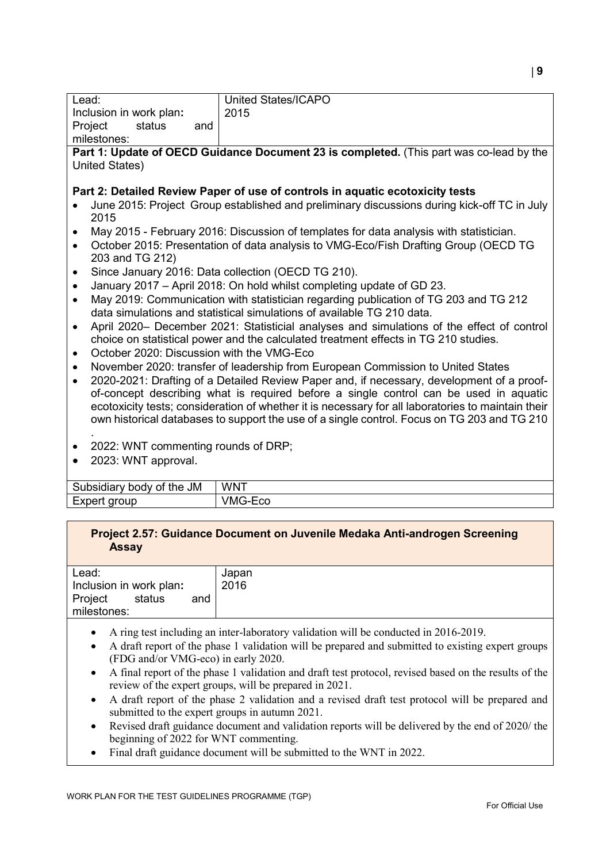| Lead:                                                                                                  | United States/ICAPO                                                                         |  |  |
|--------------------------------------------------------------------------------------------------------|---------------------------------------------------------------------------------------------|--|--|
|                                                                                                        |                                                                                             |  |  |
| Inclusion in work plan:                                                                                | 2015                                                                                        |  |  |
| Project<br>status<br>and                                                                               |                                                                                             |  |  |
| milestones:                                                                                            |                                                                                             |  |  |
|                                                                                                        | Part 1: Update of OECD Guidance Document 23 is completed. (This part was co-lead by the     |  |  |
| United States)                                                                                         |                                                                                             |  |  |
|                                                                                                        |                                                                                             |  |  |
|                                                                                                        | Part 2: Detailed Review Paper of use of controls in aquatic ecotoxicity tests               |  |  |
|                                                                                                        | June 2015: Project Group established and preliminary discussions during kick-off TC in July |  |  |
| 2015                                                                                                   |                                                                                             |  |  |
|                                                                                                        | May 2015 - February 2016: Discussion of templates for data analysis with statistician.      |  |  |
| $\bullet$                                                                                              | October 2015: Presentation of data analysis to VMG-Eco/Fish Drafting Group (OECD TG         |  |  |
| 203 and TG 212)                                                                                        |                                                                                             |  |  |
|                                                                                                        |                                                                                             |  |  |
| ٠                                                                                                      | Since January 2016: Data collection (OECD TG 210).                                          |  |  |
| $\bullet$                                                                                              | January 2017 - April 2018: On hold whilst completing update of GD 23.                       |  |  |
| $\bullet$                                                                                              | May 2019: Communication with statistician regarding publication of TG 203 and TG 212        |  |  |
| data simulations and statistical simulations of available TG 210 data.                                 |                                                                                             |  |  |
| April 2020- December 2021: Statisticial analyses and simulations of the effect of control<br>$\bullet$ |                                                                                             |  |  |
|                                                                                                        | choice on statistical power and the calculated treatment effects in TG 210 studies.         |  |  |
| October 2020: Discussion with the VMG-Eco<br>٠                                                         |                                                                                             |  |  |
| $\bullet$                                                                                              | November 2020: transfer of leadership from European Commission to United States             |  |  |
|                                                                                                        | 2020-2021: Drafting of a Detailed Review Paper and, if necessary, development of a proof-   |  |  |
|                                                                                                        |                                                                                             |  |  |
|                                                                                                        | of-concept describing what is required before a single control can be used in aquatic       |  |  |
| ecotoxicity tests; consideration of whether it is necessary for all laboratories to maintain their     |                                                                                             |  |  |
|                                                                                                        | own historical databases to support the use of a single control. Focus on TG 203 and TG 210 |  |  |
|                                                                                                        |                                                                                             |  |  |
| 2022: WNT commenting rounds of DRP;                                                                    |                                                                                             |  |  |
| 2023: WNT approval.                                                                                    |                                                                                             |  |  |
|                                                                                                        |                                                                                             |  |  |
| Subsidiary body of the JM                                                                              | <b>WNT</b>                                                                                  |  |  |
| Expert group                                                                                           | VMG-Eco                                                                                     |  |  |

| Project 2.57: Guidance Document on Juvenile Medaka Anti-androgen Screening |  |
|----------------------------------------------------------------------------|--|
| <b>Assay</b>                                                               |  |

| Lead:                    | Japan |
|--------------------------|-------|
| Inclusion in work plan:  | 2016  |
| Project<br>status<br>and |       |
| milestones:              |       |
|                          |       |

- A ring test including an inter-laboratory validation will be conducted in 2016-2019.
- A draft report of the phase 1 validation will be prepared and submitted to existing expert groups (FDG and/or VMG-eco) in early 2020.
- A final report of the phase 1 validation and draft test protocol, revised based on the results of the review of the expert groups, will be prepared in 2021.
- A draft report of the phase 2 validation and a revised draft test protocol will be prepared and submitted to the expert groups in autumn 2021.
- Revised draft guidance document and validation reports will be delivered by the end of 2020/ the beginning of 2022 for WNT commenting.
- Final draft guidance document will be submitted to the WNT in 2022.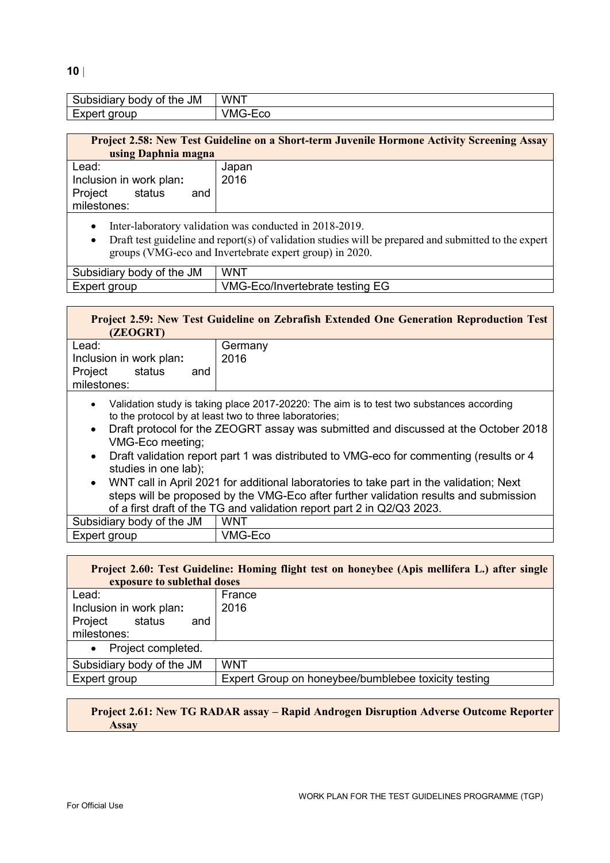#### **10** |

| <b>JM</b><br>.<br>- -<br>the<br>Ωt<br>10 H<br>1V | <b>WNT</b>                            |
|--------------------------------------------------|---------------------------------------|
| חווחזו<br>∩ 0<br><b>vur</b><br>$\sim$<br>∽       | /MAC<br>-<br>∽<br>ั∟∪∪<br>.<br>$\sim$ |

| Lead:<br>Japan<br>2016<br>Inclusion in work plan:<br>Project<br>status<br>and | <b>Project 2.58: New Test Guideline on a Short-term Juvenile Hormone Activity Screening Assay</b><br>using Daphnia magna |  |  |
|-------------------------------------------------------------------------------|--------------------------------------------------------------------------------------------------------------------------|--|--|
|                                                                               | milestones:                                                                                                              |  |  |

- Inter-laboratory validation was conducted in 2018-2019.
- Draft test guideline and report(s) of validation studies will be prepared and submitted to the expert groups (VMG-eco and Invertebrate expert group) in 2020.

| Subsidiary body of the JM | <b>WNT</b>                             |
|---------------------------|----------------------------------------|
| Expert group              | <b>VMG-Eco/Invertebrate testing EG</b> |

| (ZEOGRT)                                                                    | Project 2.59: New Test Guideline on Zebrafish Extended One Generation Reproduction Test                    |
|-----------------------------------------------------------------------------|------------------------------------------------------------------------------------------------------------|
| Lead:<br>Inclusion in work plan:<br>Project<br>status<br>and<br>milestones: | Germany<br>2016                                                                                            |
|                                                                             | $\mathbf{M}$ -lidetica etc.de is talcies also a 0047.00000. The simple to test term substances association |

- Validation study is taking place 2017-20220: The aim is to test two substances according to the protocol by at least two to three laboratories;
- Draft protocol for the ZEOGRT assay was submitted and discussed at the October 2018 VMG-Eco meeting;
- Draft validation report part 1 was distributed to VMG-eco for commenting (results or 4 studies in one lab);
- WNT call in April 2021 for additional laboratories to take part in the validation; Next steps will be proposed by the VMG-Eco after further validation results and submission of a first draft of the TG and validation report part 2 in Q2/Q3 2023.

| Subsidiary body of the JM | <b>WNT</b> |
|---------------------------|------------|
| Expert group              | ∨MG-Eco    |

| Project 2.60: Test Guideline: Homing flight test on honeybee (Apis mellifera L.) after single<br>exposure to sublethal doses |                                                     |  |
|------------------------------------------------------------------------------------------------------------------------------|-----------------------------------------------------|--|
| Lead:                                                                                                                        | France                                              |  |
| Inclusion in work plan:                                                                                                      | 2016                                                |  |
| status<br>Project<br>and                                                                                                     |                                                     |  |
| milestones:                                                                                                                  |                                                     |  |
| Project completed.<br>$\bullet$                                                                                              |                                                     |  |
| Subsidiary body of the JM                                                                                                    | <b>WNT</b>                                          |  |
| Expert group                                                                                                                 | Expert Group on honeybee/bumblebee toxicity testing |  |

#### **Project 2.61: New TG RADAR assay – Rapid Androgen Disruption Adverse Outcome Reporter Assay**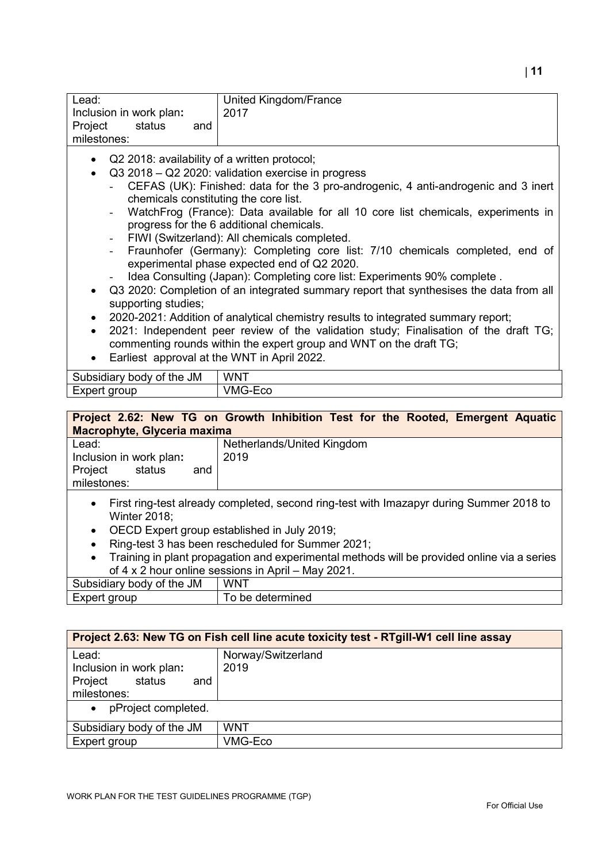| Lead:                                                | United Kingdom/France |
|------------------------------------------------------|-----------------------|
| Inclusion in work plan:                              | 2017                  |
| Project<br>status<br>and                             |                       |
| milestones:                                          |                       |
| • Q2 2018: availability of a written protocol;       |                       |
| • Q3 2018 – Q2 2020: validation exercise in progress |                       |

- CEFAS (UK): Finished: data for the 3 pro-androgenic, 4 anti-androgenic and 3 inert chemicals constituting the core list.
- WatchFrog (France): Data available for all 10 core list chemicals, experiments in progress for the 6 additional chemicals.
- FIWI (Switzerland): All chemicals completed.
- Fraunhofer (Germany): Completing core list: 7/10 chemicals completed, end of experimental phase expected end of Q2 2020.
- Idea Consulting (Japan): Completing core list: Experiments 90% complete .
- Q3 2020: Completion of an integrated summary report that synthesises the data from all supporting studies;
- 2020-2021: Addition of analytical chemistry results to integrated summary report;
- 2021: Independent peer review of the validation study; Finalisation of the draft TG; commenting rounds within the expert group and WNT on the draft TG;
- Earliest approval at the WNT in April 2022.

| the JM<br>Subsidiary body<br>∩t | <b>WNT</b>    |
|---------------------------------|---------------|
| Expert<br>aroup                 | 'MG<br>coـi-± |
|                                 |               |

# **Project 2.62: New TG on Growth Inhibition Test for the Rooted, Emergent Aquatic Macrophyte, Glyceria maxima**

| Lead:                    | Netherlands/United Kingdom |
|--------------------------|----------------------------|
| Inclusion in work plan:  | 2019                       |
| Project<br>status<br>and |                            |
| milestones:              |                            |
|                          |                            |

- First ring-test already completed, second ring-test with Imazapyr during Summer 2018 to Winter 2018;
- OECD Expert group established in July 2019;
- Ring-test 3 has been rescheduled for Summer 2021;
- Training in plant propagation and experimental methods will be provided online via a series of 4 x 2 hour online sessions in April – May 2021.

| <b>JM</b><br>Subsidiary<br>body of the | WNT           |
|----------------------------------------|---------------|
| Expert<br>aroup                        | be determined |
|                                        |               |

| Project 2.63: New TG on Fish cell line acute toxicity test - RTgill-W1 cell line assay |                            |  |
|----------------------------------------------------------------------------------------|----------------------------|--|
| Lead:<br>Inclusion in work plan:<br>Project<br>status<br>and<br>milestones:            | Norway/Switzerland<br>2019 |  |
| pProject completed.<br>$\bullet$                                                       |                            |  |
| Subsidiary body of the JM                                                              | <b>WNT</b>                 |  |
| Expert group                                                                           | VMG-Eco                    |  |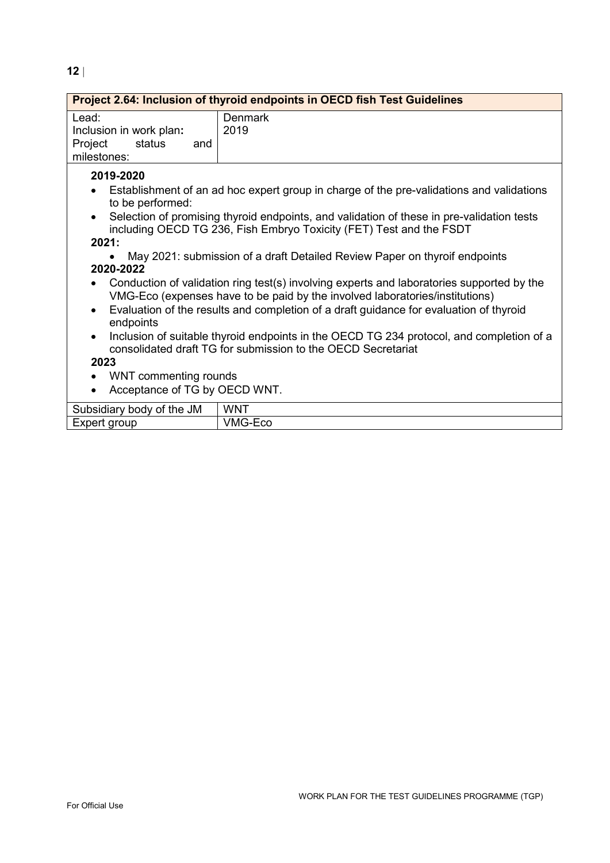| Project 2.64: Inclusion of thyroid endpoints in OECD fish Test Guidelines                                                                                                                                                                                                                                                                                                                                                                                                                                                                                                                                                                                                                                                                                                                                                                                                                                                                     |                 |
|-----------------------------------------------------------------------------------------------------------------------------------------------------------------------------------------------------------------------------------------------------------------------------------------------------------------------------------------------------------------------------------------------------------------------------------------------------------------------------------------------------------------------------------------------------------------------------------------------------------------------------------------------------------------------------------------------------------------------------------------------------------------------------------------------------------------------------------------------------------------------------------------------------------------------------------------------|-----------------|
| Lead:<br>Inclusion in work plan:<br>Project<br>status<br>and<br>milestones:                                                                                                                                                                                                                                                                                                                                                                                                                                                                                                                                                                                                                                                                                                                                                                                                                                                                   | Denmark<br>2019 |
| 2019-2020<br>Establishment of an ad hoc expert group in charge of the pre-validations and validations<br>to be performed:<br>Selection of promising thyroid endpoints, and validation of these in pre-validation tests<br>including OECD TG 236, Fish Embryo Toxicity (FET) Test and the FSDT<br>2021:<br>May 2021: submission of a draft Detailed Review Paper on thyroif endpoints<br>2020-2022<br>Conduction of validation ring test(s) involving experts and laboratories supported by the<br>VMG-Eco (expenses have to be paid by the involved laboratories/institutions)<br>Evaluation of the results and completion of a draft guidance for evaluation of thyroid<br>endpoints<br>Inclusion of suitable thyroid endpoints in the OECD TG 234 protocol, and completion of a<br>consolidated draft TG for submission to the OECD Secretariat<br>2023<br>WNT commenting rounds<br>$\bullet$<br>Acceptance of TG by OECD WNT.<br>$\bullet$ |                 |
| Subsidiary body of the JM                                                                                                                                                                                                                                                                                                                                                                                                                                                                                                                                                                                                                                                                                                                                                                                                                                                                                                                     | <b>WNT</b>      |
| Expert group                                                                                                                                                                                                                                                                                                                                                                                                                                                                                                                                                                                                                                                                                                                                                                                                                                                                                                                                  | VMG-Eco         |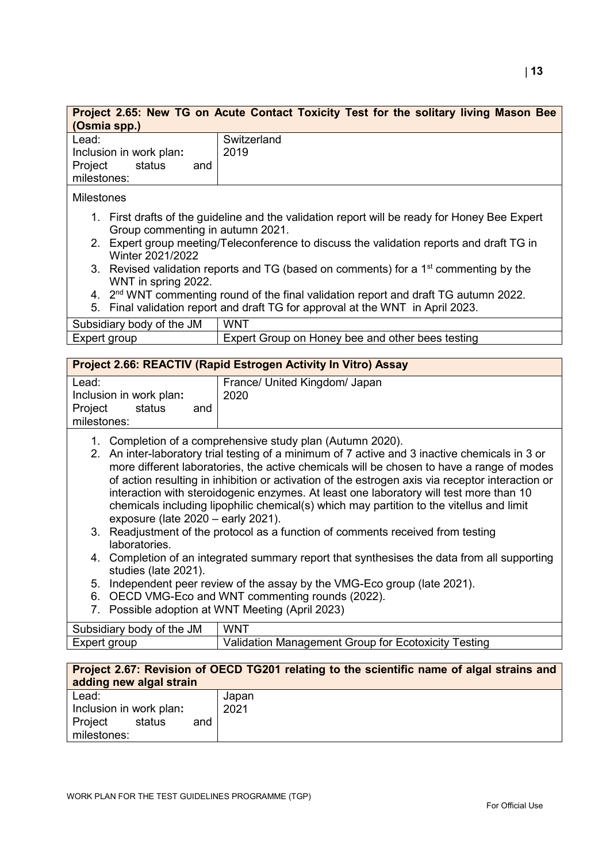| Project 2.65: New TG on Acute Contact Toxicity Test for the solitary living Mason Bee<br>(Osmia spp.)                                                                                                                                                                                                                                                                                                                                                                                                                                                                                                                                                                                                                                                                                                                                                                                                |                                                                                                                                                                                    |  |
|------------------------------------------------------------------------------------------------------------------------------------------------------------------------------------------------------------------------------------------------------------------------------------------------------------------------------------------------------------------------------------------------------------------------------------------------------------------------------------------------------------------------------------------------------------------------------------------------------------------------------------------------------------------------------------------------------------------------------------------------------------------------------------------------------------------------------------------------------------------------------------------------------|------------------------------------------------------------------------------------------------------------------------------------------------------------------------------------|--|
| Lead:<br>Inclusion in work plan:<br>Project<br>status<br>and<br>milestones:                                                                                                                                                                                                                                                                                                                                                                                                                                                                                                                                                                                                                                                                                                                                                                                                                          | Switzerland<br>2019                                                                                                                                                                |  |
| <b>Milestones</b>                                                                                                                                                                                                                                                                                                                                                                                                                                                                                                                                                                                                                                                                                                                                                                                                                                                                                    |                                                                                                                                                                                    |  |
| 1. First drafts of the guideline and the validation report will be ready for Honey Bee Expert<br>Group commenting in autumn 2021.<br>2. Expert group meeting/Teleconference to discuss the validation reports and draft TG in<br>Winter 2021/2022                                                                                                                                                                                                                                                                                                                                                                                                                                                                                                                                                                                                                                                    |                                                                                                                                                                                    |  |
| WNT in spring 2022.                                                                                                                                                                                                                                                                                                                                                                                                                                                                                                                                                                                                                                                                                                                                                                                                                                                                                  | 3. Revised validation reports and TG (based on comments) for a 1 <sup>st</sup> commenting by the                                                                                   |  |
|                                                                                                                                                                                                                                                                                                                                                                                                                                                                                                                                                                                                                                                                                                                                                                                                                                                                                                      | 4. 2 <sup>nd</sup> WNT commenting round of the final validation report and draft TG autumn 2022.<br>5. Final validation report and draft TG for approval at the WNT in April 2023. |  |
| Subsidiary body of the JM                                                                                                                                                                                                                                                                                                                                                                                                                                                                                                                                                                                                                                                                                                                                                                                                                                                                            | <b>WNT</b>                                                                                                                                                                         |  |
| Expert group                                                                                                                                                                                                                                                                                                                                                                                                                                                                                                                                                                                                                                                                                                                                                                                                                                                                                         | Expert Group on Honey bee and other bees testing                                                                                                                                   |  |
|                                                                                                                                                                                                                                                                                                                                                                                                                                                                                                                                                                                                                                                                                                                                                                                                                                                                                                      | Project 2.66: REACTIV (Rapid Estrogen Activity In Vitro) Assay                                                                                                                     |  |
| Lead:<br>Inclusion in work plan:<br>Project<br>status<br>and<br>milestones:                                                                                                                                                                                                                                                                                                                                                                                                                                                                                                                                                                                                                                                                                                                                                                                                                          | France/ United Kingdom/ Japan<br>2020                                                                                                                                              |  |
| 1. Completion of a comprehensive study plan (Autumn 2020).<br>2. An inter-laboratory trial testing of a minimum of 7 active and 3 inactive chemicals in 3 or<br>more different laboratories, the active chemicals will be chosen to have a range of modes<br>of action resulting in inhibition or activation of the estrogen axis via receptor interaction or<br>interaction with steroidogenic enzymes. At least one laboratory will test more than 10<br>chemicals including lipophilic chemical(s) which may partition to the vitellus and limit<br>exposure (late 2020 - early 2021).<br>3. Readjustment of the protocol as a function of comments received from testing<br>laboratories.<br>4. Completion of an integrated summary report that synthesises the data from all supporting<br>studies (late 2021).<br>Independent peer review of the assay by the VMG-Eco group (late 2021).<br>5. |                                                                                                                                                                                    |  |
| OECD VMG-Eco and WNT commenting rounds (2022).<br>6.<br>Possible adoption at WNT Meeting (April 2023)<br>7.                                                                                                                                                                                                                                                                                                                                                                                                                                                                                                                                                                                                                                                                                                                                                                                          |                                                                                                                                                                                    |  |
| Subsidiary body of the JM                                                                                                                                                                                                                                                                                                                                                                                                                                                                                                                                                                                                                                                                                                                                                                                                                                                                            | <b>WNT</b>                                                                                                                                                                         |  |
| Expert group                                                                                                                                                                                                                                                                                                                                                                                                                                                                                                                                                                                                                                                                                                                                                                                                                                                                                         | Validation Management Group for Ecotoxicity Testing                                                                                                                                |  |

| Project 2.67: Revision of OECD TG201 relating to the scientific name of algal strains and<br>adding new algal strain |               |  |  |  |
|----------------------------------------------------------------------------------------------------------------------|---------------|--|--|--|
| Lead:<br>Inclusion in work plan:<br>Project<br>status<br>and<br>milestones:                                          | Japan<br>2021 |  |  |  |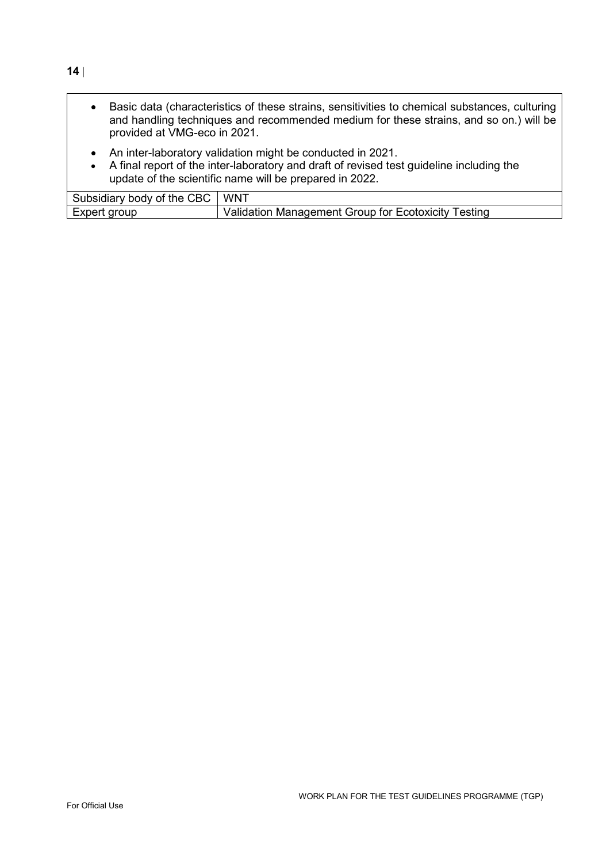• Basic data (characteristics of these strains, sensitivities to chemical substances, culturing and handling techniques and recommended medium for these strains, and so on.) will be provided at VMG-eco in 2021.

- An inter-laboratory validation might be conducted in 2021.
- A final report of the inter-laboratory and draft of revised test guideline including the update of the scientific name will be prepared in 2022.

| Subsidiary body of the CBC | <b>WNT</b>                                          |
|----------------------------|-----------------------------------------------------|
| Expert group               | Validation Management Group for Ecotoxicity Testing |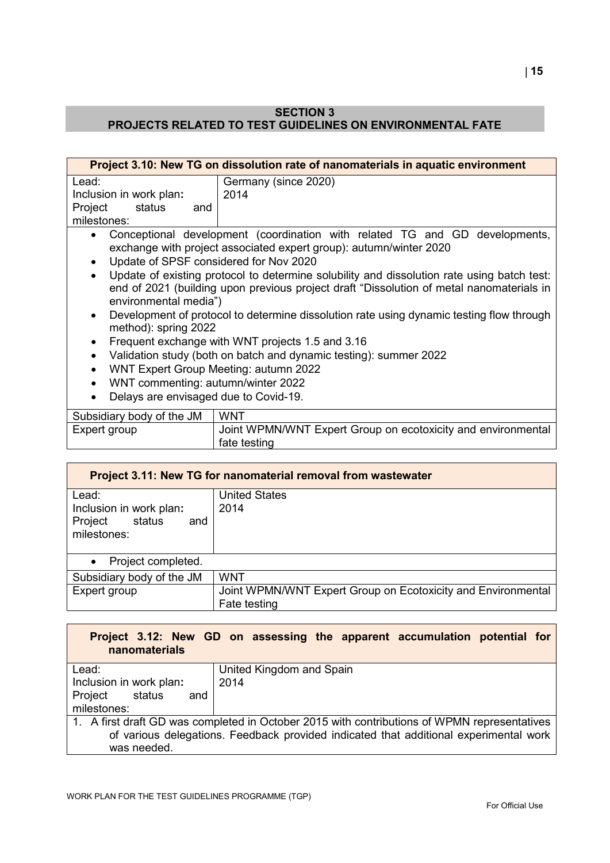# **SECTION 3 PROJECTS RELATED TO TEST GUIDELINES ON ENVIRONMENTAL FATE**

| Project 3.10: New TG on dissolution rate of nanomaterials in aquatic environment                                                                                                                                                                                                             |                                                                                                                                                                                                                                                                                                                                                                                                                                                                                                                                                                                                  |  |
|----------------------------------------------------------------------------------------------------------------------------------------------------------------------------------------------------------------------------------------------------------------------------------------------|--------------------------------------------------------------------------------------------------------------------------------------------------------------------------------------------------------------------------------------------------------------------------------------------------------------------------------------------------------------------------------------------------------------------------------------------------------------------------------------------------------------------------------------------------------------------------------------------------|--|
| Lead:<br>Inclusion in work plan:<br>Project<br>status<br>and<br>milestones:<br>$\bullet$<br>Update of SPSF considered for Nov 2020<br>environmental media")<br>$\bullet$<br>method): spring 2022<br>$\bullet$<br>WNT Expert Group Meeting: autumn 2022<br>WNT commenting: autumn/winter 2022 | Germany (since 2020)<br>2014<br>Conceptional development (coordination with related TG and GD developments,<br>exchange with project associated expert group): autumn/winter 2020<br>Update of existing protocol to determine solubility and dissolution rate using batch test:<br>end of 2021 (building upon previous project draft "Dissolution of metal nanomaterials in<br>Development of protocol to determine dissolution rate using dynamic testing flow through<br>Frequent exchange with WNT projects 1.5 and 3.16<br>Validation study (both on batch and dynamic testing): summer 2022 |  |
| Delays are envisaged due to Covid-19.<br>$\bullet$                                                                                                                                                                                                                                           |                                                                                                                                                                                                                                                                                                                                                                                                                                                                                                                                                                                                  |  |
| Subsidiary body of the JM                                                                                                                                                                                                                                                                    | <b>WNT</b>                                                                                                                                                                                                                                                                                                                                                                                                                                                                                                                                                                                       |  |
| Expert group                                                                                                                                                                                                                                                                                 | Joint WPMN/WNT Expert Group on ecotoxicity and environmental<br>fate testing                                                                                                                                                                                                                                                                                                                                                                                                                                                                                                                     |  |
|                                                                                                                                                                                                                                                                                              |                                                                                                                                                                                                                                                                                                                                                                                                                                                                                                                                                                                                  |  |
|                                                                                                                                                                                                                                                                                              | Project 3.11: New TG for nanomaterial removal from wastewater                                                                                                                                                                                                                                                                                                                                                                                                                                                                                                                                    |  |

| Froject 3.11: New TG for nanomaterial removal from wastewater |                                                                              |  |  |
|---------------------------------------------------------------|------------------------------------------------------------------------------|--|--|
| Lead:                                                         | <b>United States</b>                                                         |  |  |
| Inclusion in work plan:                                       | 2014                                                                         |  |  |
| Project<br>status<br>and<br>milestones:                       |                                                                              |  |  |
| Project completed.<br>$\bullet$                               |                                                                              |  |  |
| Subsidiary body of the JM                                     | <b>WNT</b>                                                                   |  |  |
| Expert group                                                  | Joint WPMN/WNT Expert Group on Ecotoxicity and Environmental<br>Fate testing |  |  |

| Project 3.12: New GD on assessing the apparent accumulation potential for |  |  |  |  |
|---------------------------------------------------------------------------|--|--|--|--|
| nanomaterials                                                             |  |  |  |  |

| Lead:                   | United Kingdom and Spain                                                                     |
|-------------------------|----------------------------------------------------------------------------------------------|
| Inclusion in work plan: | 2014                                                                                         |
| Project status<br>and   |                                                                                              |
| milestones:             |                                                                                              |
|                         | 1. A first draft GD was completed in October 2015 with contributions of WPMN representatives |
|                         | of various delegations. Feedback provided indicated that additional experimental work        |
| was needed.             |                                                                                              |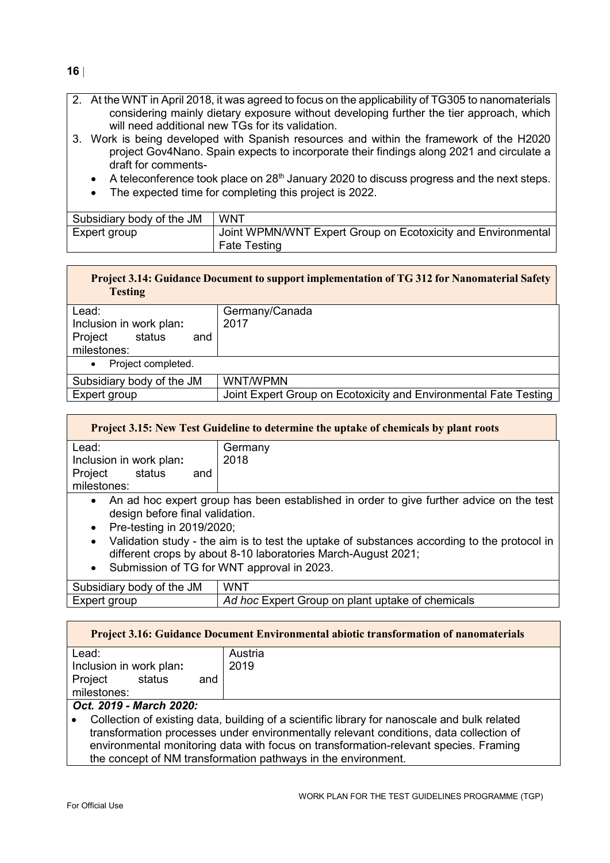- 2. At the WNT in April 2018, it was agreed to focus on the applicability of TG305 to nanomaterials considering mainly dietary exposure without developing further the tier approach, which will need additional new TGs for its validation.
- 3. Work is being developed with Spanish resources and within the framework of the H2020 project Gov4Nano. Spain expects to incorporate their findings along 2021 and circulate a draft for comments-
	- A teleconference took place on 28<sup>th</sup> January 2020 to discuss progress and the next steps.
	- The expected time for completing this project is 2022.

| Subsidiary body of the JM | <b>WNT</b>                                                   |
|---------------------------|--------------------------------------------------------------|
| Expert group              | Joint WPMN/WNT Expert Group on Ecotoxicity and Environmental |
|                           | <b>Fate Testing</b>                                          |

| <b>Testing</b>                  | Project 3.14: Guidance Document to support implementation of TG 312 for Nanomaterial Safety |
|---------------------------------|---------------------------------------------------------------------------------------------|
| Lead:                           | Germany/Canada                                                                              |
| Inclusion in work plan:         | 2017                                                                                        |
| Project<br>status<br>and        |                                                                                             |
| milestones:                     |                                                                                             |
| Project completed.<br>$\bullet$ |                                                                                             |
| Subsidiary body of the JM       | <b>WNT/WPMN</b>                                                                             |
| Expert group                    | Joint Expert Group on Ecotoxicity and Environmental Fate Testing                            |

| <b>Project 3.15: New Test Guideline to determine the uptake of chemicals by plant roots</b>                                             |         |  |  |  |
|-----------------------------------------------------------------------------------------------------------------------------------------|---------|--|--|--|
| Lead:                                                                                                                                   | Germany |  |  |  |
| Inclusion in work plan:                                                                                                                 | 2018    |  |  |  |
| Project<br>status<br>and                                                                                                                |         |  |  |  |
| milestones:                                                                                                                             |         |  |  |  |
| An ad hoc expert group has been established in order to give further advice on the test<br>$\bullet$<br>design before final validation. |         |  |  |  |

- Pre-testing in 2019/2020;
- Validation study the aim is to test the uptake of substances according to the protocol in different crops by about 8-10 laboratories March-August 2021;
- Submission of TG for WNT approval in 2023.

| Subsidiary body of the JM | WNT                                              |
|---------------------------|--------------------------------------------------|
| Expert group              | Ad hoc Expert Group on plant uptake of chemicals |

| <b>Project 3.16: Guidance Document Environmental abiotic transformation of nanomaterials</b> |         |  |  |  |
|----------------------------------------------------------------------------------------------|---------|--|--|--|
| Lead:                                                                                        | Austria |  |  |  |
| Inclusion in work plan:                                                                      | 2019    |  |  |  |
| status<br>Project<br>and                                                                     |         |  |  |  |
| milestones:                                                                                  |         |  |  |  |
| $A_{n+1}$ and $A_{n}$ and $A_{n+1}$ and $A_{n+1}$                                            |         |  |  |  |

# *Oct. 2019 - March 2020:*

• Collection of existing data, building of a scientific library for nanoscale and bulk related transformation processes under environmentally relevant conditions, data collection of environmental monitoring data with focus on transformation-relevant species. Framing the concept of NM transformation pathways in the environment.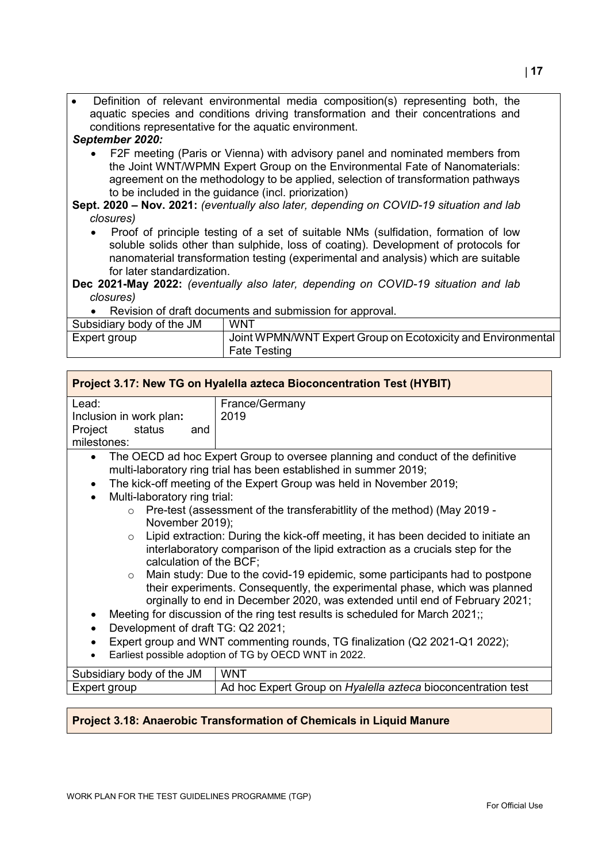• Definition of relevant environmental media composition(s) representing both, the aquatic species and conditions driving transformation and their concentrations and conditions representative for the aquatic environment.

#### *September 2020:*

• F2F meeting (Paris or Vienna) with advisory panel and nominated members from the Joint WNT/WPMN Expert Group on the Environmental Fate of Nanomaterials: agreement on the methodology to be applied, selection of transformation pathways to be included in the guidance (incl. priorization)

**Sept. 2020 – Nov. 2021:** *(eventually also later, depending on COVID-19 situation and lab closures)*

- Proof of principle testing of a set of suitable NMs (sulfidation, formation of low soluble solids other than sulphide, loss of coating). Development of protocols for nanomaterial transformation testing (experimental and analysis) which are suitable for later standardization.
- **Dec 2021-May 2022:** *(eventually also later, depending on COVID-19 situation and lab closures)*
	- Revision of draft documents and submission for approval.

| Subsidiary body of the JM | <b>WNT</b>                                                   |
|---------------------------|--------------------------------------------------------------|
| Expert group              | Joint WPMN/WNT Expert Group on Ecotoxicity and Environmental |
|                           | Fate Testing                                                 |

| Project 3.17: New TG on Hyalella azteca Bioconcentration Test (HYBIT)                                                                                                                                                                               |                                                                                                                                                                                                          |  |
|-----------------------------------------------------------------------------------------------------------------------------------------------------------------------------------------------------------------------------------------------------|----------------------------------------------------------------------------------------------------------------------------------------------------------------------------------------------------------|--|
| Lead:                                                                                                                                                                                                                                               | France/Germany                                                                                                                                                                                           |  |
| Inclusion in work plan:                                                                                                                                                                                                                             | 2019                                                                                                                                                                                                     |  |
| Project<br>status<br>and                                                                                                                                                                                                                            |                                                                                                                                                                                                          |  |
| milestones:                                                                                                                                                                                                                                         |                                                                                                                                                                                                          |  |
| $\bullet$                                                                                                                                                                                                                                           | The OECD ad hoc Expert Group to oversee planning and conduct of the definitive<br>multi-laboratory ring trial has been established in summer 2019;                                                       |  |
| $\bullet$                                                                                                                                                                                                                                           | The kick-off meeting of the Expert Group was held in November 2019;                                                                                                                                      |  |
| Multi-laboratory ring trial:<br>$\bullet$                                                                                                                                                                                                           |                                                                                                                                                                                                          |  |
| Pre-test (assessment of the transferabitiity of the method) (May 2019 -<br>$\circ$                                                                                                                                                                  |                                                                                                                                                                                                          |  |
|                                                                                                                                                                                                                                                     | November 2019);                                                                                                                                                                                          |  |
|                                                                                                                                                                                                                                                     | Lipid extraction: During the kick-off meeting, it has been decided to initiate an<br>$\circ$<br>interlaboratory comparison of the lipid extraction as a crucials step for the<br>calculation of the BCF; |  |
| Main study: Due to the covid-19 epidemic, some participants had to postpone<br>$\circ$<br>their experiments. Consequently, the experimental phase, which was planned<br>orginally to end in December 2020, was extended until end of February 2021; |                                                                                                                                                                                                          |  |
| Meeting for discussion of the ring test results is scheduled for March 2021;;<br>$\bullet$                                                                                                                                                          |                                                                                                                                                                                                          |  |
| Development of draft TG: Q2 2021;<br>$\bullet$                                                                                                                                                                                                      |                                                                                                                                                                                                          |  |
| Expert group and WNT commenting rounds, TG finalization (Q2 2021-Q1 2022);<br>$\bullet$                                                                                                                                                             |                                                                                                                                                                                                          |  |
| Earliest possible adoption of TG by OECD WNT in 2022.<br>$\bullet$                                                                                                                                                                                  |                                                                                                                                                                                                          |  |
| Subsidiary body of the JM                                                                                                                                                                                                                           | <b>WNT</b>                                                                                                                                                                                               |  |
| Expert group                                                                                                                                                                                                                                        | Ad hoc Expert Group on Hyalella azteca bioconcentration test                                                                                                                                             |  |
|                                                                                                                                                                                                                                                     |                                                                                                                                                                                                          |  |

# **Project 3.18: Anaerobic Transformation of Chemicals in Liquid Manure**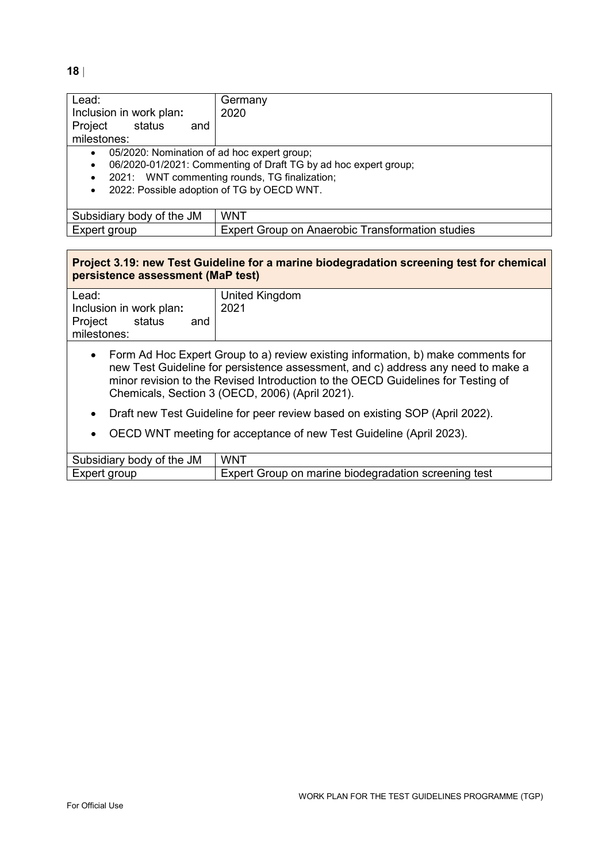**18** |

| Lead:                                                                | Germany                                                 |
|----------------------------------------------------------------------|---------------------------------------------------------|
| Inclusion in work plan:                                              | 2020                                                    |
| Project<br>status<br>and                                             |                                                         |
| milestones:                                                          |                                                         |
| 05/2020: Nomination of ad hoc expert group;<br>$\bullet$             |                                                         |
| 06/2020-01/2021: Commenting of Draft TG by ad hoc expert group;<br>٠ |                                                         |
| 2021: WNT commenting rounds, TG finalization;<br>$\bullet$           |                                                         |
| 2022: Possible adoption of TG by OECD WNT.<br>$\bullet$              |                                                         |
|                                                                      |                                                         |
| Subsidiary body of the JM                                            | <b>WNT</b>                                              |
| Expert group                                                         | <b>Expert Group on Anaerobic Transformation studies</b> |

# **Project 3.19: new Test Guideline for a marine biodegradation screening test for chemical persistence assessment (MaP test)**

| Lead:                    | United Kingdom |
|--------------------------|----------------|
| Inclusion in work plan:  | 2021           |
| Project<br>status<br>and |                |
| milestones:              |                |

- Form Ad Hoc Expert Group to a) review existing information, b) make comments for new Test Guideline for persistence assessment, and c) address any need to make a minor revision to the Revised Introduction to the OECD Guidelines for Testing of Chemicals, Section 3 (OECD, 2006) (April 2021).
- Draft new Test Guideline for peer review based on existing SOP (April 2022).
- OECD WNT meeting for acceptance of new Test Guideline (April 2023).

| Subsidiary body of the JM | <b>WNT</b>                                           |
|---------------------------|------------------------------------------------------|
| Expert group              | Expert Group on marine biodegradation screening test |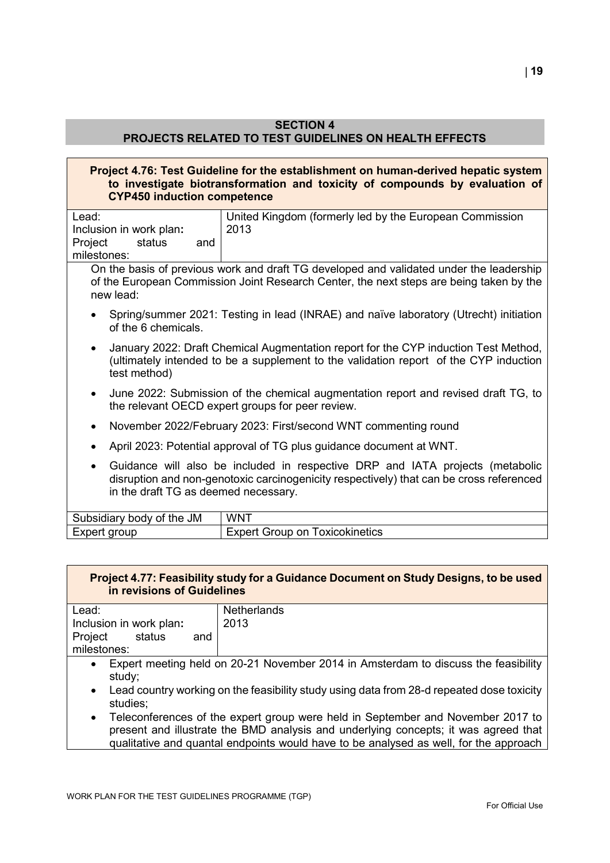#### **SECTION 4**

# **PROJECTS RELATED TO TEST GUIDELINES ON HEALTH EFFECTS**

#### **Project 4.76: Test Guideline for the establishment on human-derived hepatic system to investigate biotransformation and toxicity of compounds by evaluation of CYP450 induction competence**

| Lead:<br>Inclusion in work plan:                  | United Kingdom (formerly led by the European Commission<br>2013                                                                                                                    |
|---------------------------------------------------|------------------------------------------------------------------------------------------------------------------------------------------------------------------------------------|
| Project<br>status<br>and                          |                                                                                                                                                                                    |
| milestones:                                       |                                                                                                                                                                                    |
| new lead:                                         | On the basis of previous work and draft TG developed and validated under the leadership<br>of the European Commission Joint Research Center, the next steps are being taken by the |
| of the 6 chemicals.                               | Spring/summer 2021: Testing in lead (INRAE) and naïve laboratory (Utrecht) initiation                                                                                              |
| $\bullet$<br>test method)                         | January 2022: Draft Chemical Augmentation report for the CYP induction Test Method,<br>(ultimately intended to be a supplement to the validation report of the CYP induction       |
| $\bullet$                                         | June 2022: Submission of the chemical augmentation report and revised draft TG, to<br>the relevant OECD expert groups for peer review.                                             |
| $\bullet$                                         | November 2022/February 2023: First/second WNT commenting round                                                                                                                     |
| $\bullet$                                         | April 2023: Potential approval of TG plus guidance document at WNT.                                                                                                                |
| $\bullet$<br>in the draft TG as deemed necessary. | Guidance will also be included in respective DRP and IATA projects (metabolic<br>disruption and non-genotoxic carcinogenicity respectively) that can be cross referenced           |

| Subsidiary body of the JM | <b>WNT</b>                        |
|---------------------------|-----------------------------------|
| Expert group              | Expert Group on<br>⊺oxicokinetics |

# **Project 4.77: Feasibility study for a Guidance Document on Study Designs, to be used in revisions of Guidelines**

| Lead:                                                                                     | <b>Netherlands</b>                                                                 |
|-------------------------------------------------------------------------------------------|------------------------------------------------------------------------------------|
| Inclusion in work plan:                                                                   | 2013                                                                               |
| Project<br>status<br>and                                                                  |                                                                                    |
| milestones:                                                                               |                                                                                    |
| $\bullet$                                                                                 | Expert meeting held on 20-21 November 2014 in Amsterdam to discuss the feasibility |
| study;                                                                                    |                                                                                    |
| Lead country working on the feasibility study using data from 28-d repeated dose toxicity |                                                                                    |
| studies;                                                                                  |                                                                                    |

• Teleconferences of the expert group were held in September and November 2017 to present and illustrate the BMD analysis and underlying concepts; it was agreed that qualitative and quantal endpoints would have to be analysed as well, for the approach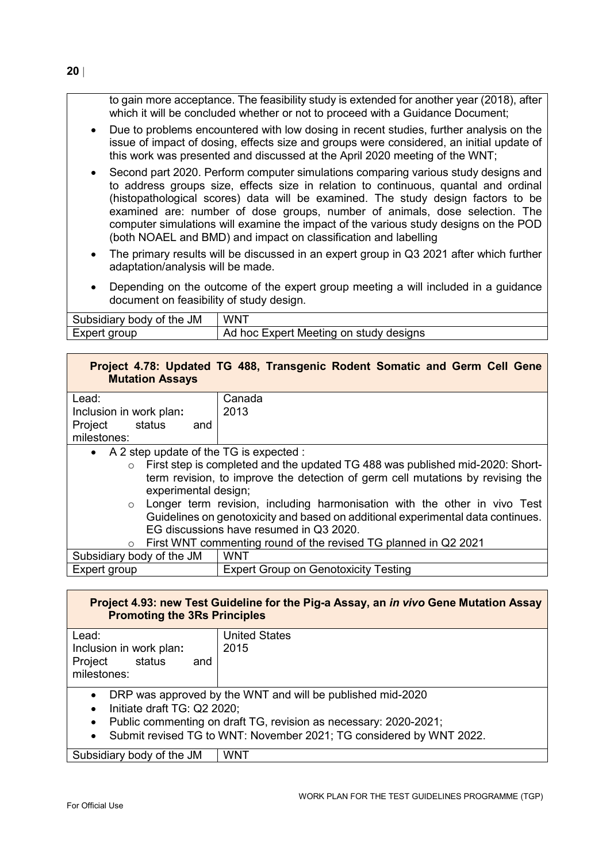to gain more acceptance. The feasibility study is extended for another year (2018), after which it will be concluded whether or not to proceed with a Guidance Document;

- Due to problems encountered with low dosing in recent studies, further analysis on the issue of impact of dosing, effects size and groups were considered, an initial update of this work was presented and discussed at the April 2020 meeting of the WNT;
- Second part 2020. Perform computer simulations comparing various study designs and to address groups size, effects size in relation to continuous, quantal and ordinal (histopathological scores) data will be examined. The study design factors to be examined are: number of dose groups, number of animals, dose selection. The computer simulations will examine the impact of the various study designs on the POD (both NOAEL and BMD) and impact on classification and labelling
- The primary results will be discussed in an expert group in Q3 2021 after which further adaptation/analysis will be made.
- Depending on the outcome of the expert group meeting a will included in a guidance document on feasibility of study design.

| Subsidiary body of the JM | WNT                                    |
|---------------------------|----------------------------------------|
| Expert group              | Ad hoc Expert Meeting on study designs |

# **Project 4.78: Updated TG 488, Transgenic Rodent Somatic and Germ Cell Gene Mutation Assays**

| Lead:                                     | Canada                                                                          |
|-------------------------------------------|---------------------------------------------------------------------------------|
| Inclusion in work plan:                   | 2013                                                                            |
| Project<br>status<br>and                  |                                                                                 |
| milestones:                               |                                                                                 |
| • A 2 step update of the TG is expected : |                                                                                 |
| $\circ$                                   | First step is completed and the updated TG 488 was published mid-2020: Short-   |
|                                           | term revision, to improve the detection of germ cell mutations by revising the  |
| experimental design;                      |                                                                                 |
| $\circ$                                   | Longer term revision, including harmonisation with the other in vivo Test       |
|                                           | Guidelines on genotoxicity and based on additional experimental data continues. |
|                                           | EG discussions have resumed in Q3 2020.                                         |
| $\circ$                                   | First WNT commenting round of the revised TG planned in Q2 2021                 |
| Subsidiary body of the JM                 | <b>WNT</b>                                                                      |
| Expert group                              | <b>Expert Group on Genotoxicity Testing</b>                                     |

# **Project 4.93: new Test Guideline for the Pig-a Assay, an** *in vivo* **Gene Mutation Assay Promoting the 3Rs Principles**

| Lead:                                                                                                                                                                                                                                                                         | <b>United States</b> |
|-------------------------------------------------------------------------------------------------------------------------------------------------------------------------------------------------------------------------------------------------------------------------------|----------------------|
| Inclusion in work plan:                                                                                                                                                                                                                                                       | 2015                 |
| Project<br>status<br>and                                                                                                                                                                                                                                                      |                      |
| milestones:                                                                                                                                                                                                                                                                   |                      |
| DRP was approved by the WNT and will be published mid-2020<br>$\bullet$<br>Initiate draft TG: Q2 2020;<br>$\bullet$<br>Public commenting on draft TG, revision as necessary: 2020-2021;<br>$\bullet$<br>• Submit revised TG to WNT: November 2021; TG considered by WNT 2022. |                      |

Subsidiary body of the JM  $\parallel$  WNT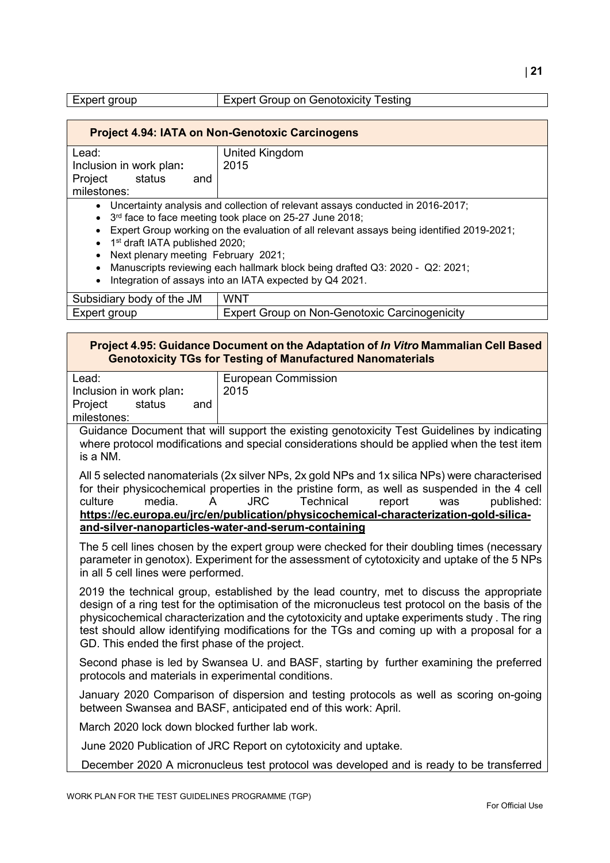| Expert Group on Genotoxicity Testing<br>Expert group |
|------------------------------------------------------|
|------------------------------------------------------|

| <b>Project 4.94: IATA on Non-Genotoxic Carcinogens</b>                                                                                                                                                                                                                                                                                                                                                                                                                                                                  |                                                      |
|-------------------------------------------------------------------------------------------------------------------------------------------------------------------------------------------------------------------------------------------------------------------------------------------------------------------------------------------------------------------------------------------------------------------------------------------------------------------------------------------------------------------------|------------------------------------------------------|
| Lead:                                                                                                                                                                                                                                                                                                                                                                                                                                                                                                                   | United Kingdom                                       |
| Inclusion in work plan:                                                                                                                                                                                                                                                                                                                                                                                                                                                                                                 | 2015                                                 |
| Project<br>status<br>and                                                                                                                                                                                                                                                                                                                                                                                                                                                                                                |                                                      |
| milestones:                                                                                                                                                                                                                                                                                                                                                                                                                                                                                                             |                                                      |
| • Uncertainty analysis and collection of relevant assays conducted in 2016-2017;<br>• 3 <sup>rd</sup> face to face meeting took place on 25-27 June 2018;<br>Expert Group working on the evaluation of all relevant assays being identified 2019-2021;<br>$\bullet$<br>• 1 <sup>st</sup> draft IATA published 2020;<br>Next plenary meeting February 2021;<br>Manuscripts reviewing each hallmark block being drafted Q3: 2020 - Q2: 2021;<br>$\bullet$<br>Integration of assays into an IATA expected by Q4 2021.<br>٠ |                                                      |
| Subsidiary body of the JM                                                                                                                                                                                                                                                                                                                                                                                                                                                                                               | <b>WNT</b>                                           |
| Expert group                                                                                                                                                                                                                                                                                                                                                                                                                                                                                                            | <b>Expert Group on Non-Genotoxic Carcinogenicity</b> |

| Project 4.95: Guidance Document on the Adaptation of In Vitro Mammalian Cell Based |
|------------------------------------------------------------------------------------|
| <b>Genotoxicity TGs for Testing of Manufactured Nanomaterials</b>                  |

| Lead:                    | <b>European Commission</b>                                                                  |
|--------------------------|---------------------------------------------------------------------------------------------|
|                          |                                                                                             |
| Inclusion in work plan:  | 2015                                                                                        |
|                          |                                                                                             |
| Project<br>status<br>and |                                                                                             |
|                          |                                                                                             |
| milestones:              |                                                                                             |
|                          |                                                                                             |
|                          |                                                                                             |
|                          | Guidance Document that will support the existing genotoxicity Test Guidelines by indicating |

where protocol modifications and special considerations should be applied when the test item is a NM.

All 5 selected nanomaterials (2x silver NPs, 2x gold NPs and 1x silica NPs) were characterised for their physicochemical properties in the pristine form, as well as suspended in the 4 cell<br>culture media A JRC Technical report was published culture media. A JRC Technical report was published: **[https://ec.europa.eu/jrc/en/publication/physicochemical-characterization-gold-silica](https://eur02.safelinks.protection.outlook.com/?url=https%3A%2F%2Furldefense.com%2Fv3%2F__https%3A%2Feur02.safelinks.protection.outlook.com%2F%3Furl%3Dhttps*3A*2F*2Fec.europa.eu*2Fjrc*2Fen*2Fpublication*2Fphysicochemical-characterization-gold-silica-and-silver-nanoparticles-water-and-serum-containing%26data%3D02*7C01*7CMar.GONZALEZ*40oecd.org*7Cced2f9b57def455741c308d80898c7c8*7Cac41c7d41f61460db0f4fc925a2b471c*7C0*7C0*7C637268799566421861%26sdata%3D6j3hSaQiXvA3qnQFyYlQs8zNUJFwKt243bJIVz3UDZY*3D%26reserved%3D0__%3BJSUlJSUlJSUlJSUlJSUlJQ!!DOxrgLBm!S54vakVATV-_qPur5sytbvhiud58vyJkGOsxhQUBHwvlfDLuPdhXWKWmg8ov0vzLGYZxmiBnhg%24&data=02%7C01%7CMar.GONZALEZ%40oecd.org%7C71d6c151e24f4d932b6b08d81846682e%7Cac41c7d41f61460db0f4fc925a2b471c%7C0%7C0%7C637286037965391647&sdata=hHIscP7fPPcyW4%2Bco8C5FPo7u1Fq2W5asU%2BNEWe4d8M%3D&reserved=0)[and-silver-nanoparticles-water-and-serum-containing](https://eur02.safelinks.protection.outlook.com/?url=https%3A%2F%2Furldefense.com%2Fv3%2F__https%3A%2Feur02.safelinks.protection.outlook.com%2F%3Furl%3Dhttps*3A*2F*2Fec.europa.eu*2Fjrc*2Fen*2Fpublication*2Fphysicochemical-characterization-gold-silica-and-silver-nanoparticles-water-and-serum-containing%26data%3D02*7C01*7CMar.GONZALEZ*40oecd.org*7Cced2f9b57def455741c308d80898c7c8*7Cac41c7d41f61460db0f4fc925a2b471c*7C0*7C0*7C637268799566421861%26sdata%3D6j3hSaQiXvA3qnQFyYlQs8zNUJFwKt243bJIVz3UDZY*3D%26reserved%3D0__%3BJSUlJSUlJSUlJSUlJSUlJQ!!DOxrgLBm!S54vakVATV-_qPur5sytbvhiud58vyJkGOsxhQUBHwvlfDLuPdhXWKWmg8ov0vzLGYZxmiBnhg%24&data=02%7C01%7CMar.GONZALEZ%40oecd.org%7C71d6c151e24f4d932b6b08d81846682e%7Cac41c7d41f61460db0f4fc925a2b471c%7C0%7C0%7C637286037965391647&sdata=hHIscP7fPPcyW4%2Bco8C5FPo7u1Fq2W5asU%2BNEWe4d8M%3D&reserved=0)**

The 5 cell lines chosen by the expert group were checked for their doubling times (necessary parameter in genotox). Experiment for the assessment of cytotoxicity and uptake of the 5 NPs in all 5 cell lines were performed.

2019 the technical group, established by the lead country, met to discuss the appropriate design of a ring test for the optimisation of the micronucleus test protocol on the basis of the physicochemical characterization and the cytotoxicity and uptake experiments study . The ring test should allow identifying modifications for the TGs and coming up with a proposal for a GD. This ended the first phase of the project.

Second phase is led by Swansea U. and BASF, starting by further examining the preferred protocols and materials in experimental conditions.

January 2020 Comparison of dispersion and testing protocols as well as scoring on-going between Swansea and BASF, anticipated end of this work: April.

March 2020 lock down blocked further lab work.

June 2020 Publication of JRC Report on cytotoxicity and uptake.

December 2020 A micronucleus test protocol was developed and is ready to be transferred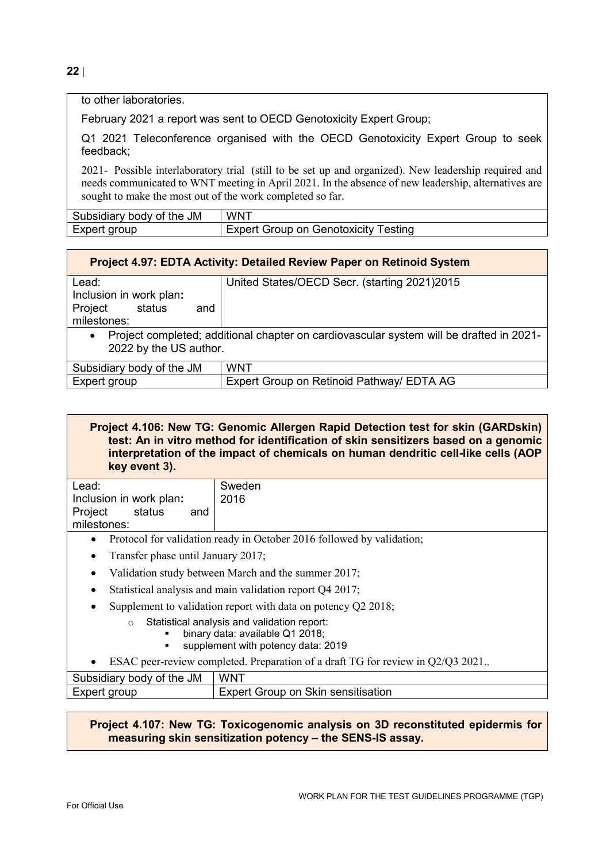**22** |

to other laboratories.

February 2021 a report was sent to OECD Genotoxicity Expert Group;

Q1 2021 Teleconference organised with the OECD Genotoxicity Expert Group to seek feedback;

2021- Possible interlaboratory trial (still to be set up and organized). New leadership required and needs communicated to WNT meeting in April 2021. In the absence of new leadership, alternatives are sought to make the most out of the work completed so far.

| body of the JM<br>Subsidiary | <b>WNT</b>                                 |
|------------------------------|--------------------------------------------|
| Expert<br>aroup              | ⊺estinq<br>Group on Genotoxicity<br>Expert |

| <b>Project 4.97: EDTA Activity: Detailed Review Paper on Retinoid System</b> |                                                                                         |
|------------------------------------------------------------------------------|-----------------------------------------------------------------------------------------|
| Lead:                                                                        | United States/OECD Secr. (starting 2021)2015                                            |
| Inclusion in work plan:                                                      |                                                                                         |
| Project status<br>and                                                        |                                                                                         |
| milestones:                                                                  |                                                                                         |
| $\bullet$                                                                    | Project completed; additional chapter on cardiovascular system will be drafted in 2021- |
| 2022 by the US author.                                                       |                                                                                         |
| Subsidiary body of the JM                                                    | WNT                                                                                     |
| Expert group                                                                 | Expert Group on Retinoid Pathway/ EDTA AG                                               |

**Project 4.106: New TG: Genomic Allergen Rapid Detection test for skin (GARDskin) test: An in vitro method for identification of skin sensitizers based on a genomic interpretation of the impact of chemicals on human dendritic cell-like cells (AOP key event 3).**

| Lead:                                   | Sweden |
|-----------------------------------------|--------|
| Inclusion in work plan:                 | 2016   |
| Project<br>status<br>and<br>milestones: |        |

- Protocol for validation ready in October 2016 followed by validation;
- Transfer phase until January 2017;
- Validation study between March and the summer 2017;
- Statistical analysis and main validation report O4 2017;
- Supplement to validation report with data on potency O2 2018;
	- o Statistical analysis and validation report:
		- binary data: available Q1 2018;
		- supplement with potency data: 2019
- ESAC peer-review completed. Preparation of a draft TG for review in Q2/Q3 2021..

| Subsidiary body of the JM | <b>WNT</b>                            |
|---------------------------|---------------------------------------|
| Expert group              | Group on Skin sensitisation<br>Expert |

**Project 4.107: New TG: Toxicogenomic analysis on 3D reconstituted epidermis for measuring skin sensitization potency – the SENS-IS assay.**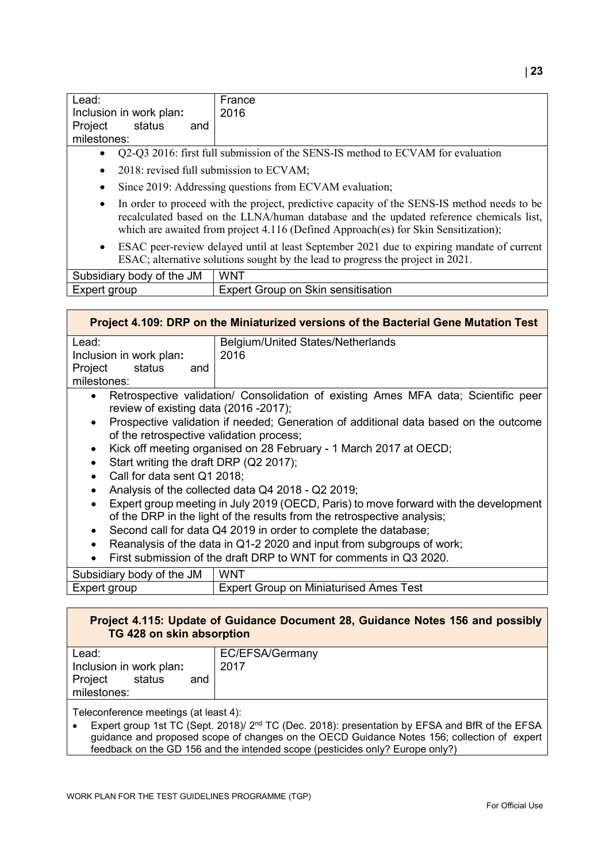| Lead:                    | France |
|--------------------------|--------|
| Inclusion in work plan:  | 2016   |
| Project<br>status<br>and |        |
| milestones:              |        |

- Q2-Q3 2016: first full submission of the SENS-IS method to ECVAM for evaluation
- 2018: revised full submission to ECVAM;
- Since 2019: Addressing questions from ECVAM evaluation;
- In order to proceed with the project, predictive capacity of the SENS-IS method needs to be recalculated based on the LLNA/human database and the updated reference chemicals list, which are awaited from project 4.116 (Defined Approach(es) for Skin Sensitization);
- ESAC peer-review delayed until at least September 2021 due to expiring mandate of current ESAC; alternative solutions sought by the lead to progress the project in 2021.

| JM<br>∵the<br>Subsidiary body of | <b>WNT</b>                               |
|----------------------------------|------------------------------------------|
| Expert<br>. arour                | on Skin sensitisation<br>Group<br>⊢xnert |

|                                                       | Project 4.109: DRP on the Miniaturized versions of the Bacterial Gene Mutation Test                                                                             |
|-------------------------------------------------------|-----------------------------------------------------------------------------------------------------------------------------------------------------------------|
| Lead:                                                 | <b>Belgium/United States/Netherlands</b>                                                                                                                        |
| Inclusion in work plan:                               | 2016                                                                                                                                                            |
| Project<br>status<br>and                              |                                                                                                                                                                 |
| milestones:                                           |                                                                                                                                                                 |
| $\bullet$<br>review of existing data (2016 -2017);    | Retrospective validation/ Consolidation of existing Ames MFA data; Scientific peer                                                                              |
| $\bullet$<br>of the retrospective validation process; | Prospective validation if needed; Generation of additional data based on the outcome                                                                            |
| $\bullet$                                             | Kick off meeting organised on 28 February - 1 March 2017 at OECD;                                                                                               |
| Start writing the draft DRP (Q2 2017);                |                                                                                                                                                                 |
| Call for data sent Q1 2018;                           |                                                                                                                                                                 |
| $\bullet$                                             | Analysis of the collected data Q4 2018 - Q2 2019;                                                                                                               |
| $\bullet$                                             | Expert group meeting in July 2019 (OECD, Paris) to move forward with the development<br>of the DRP in the light of the results from the retrospective analysis; |
| $\bullet$                                             | Second call for data Q4 2019 in order to complete the database;                                                                                                 |
|                                                       | Reanalysis of the data in Q1-2 2020 and input from subgroups of work;                                                                                           |
|                                                       | First submission of the draft DRP to WNT for comments in Q3 2020.                                                                                               |
| Subeidiary body of the IM                             | I WNT                                                                                                                                                           |

| Subsidiary body of the JM | WNT                                           |
|---------------------------|-----------------------------------------------|
| Expert group              | <b>Expert Group on Miniaturised Ames Test</b> |
|                           |                                               |

#### **Project 4.115: Update of Guidance Document 28, Guidance Notes 156 and possibly TG 428 on skin absorption**

| Lead:                    | EC/EFSA/Germany |
|--------------------------|-----------------|
| Inclusion in work plan:  | 2017            |
| Project<br>status<br>and |                 |
| milestones:              |                 |

Teleconference meetings (at least 4):

• Expert group 1st TC (Sept. 2018)/ 2nd TC (Dec. 2018): presentation by EFSA and BfR of the EFSA guidance and proposed scope of changes on the OECD Guidance Notes 156; collection of expert feedback on the GD 156 and the intended scope (pesticides only? Europe only?)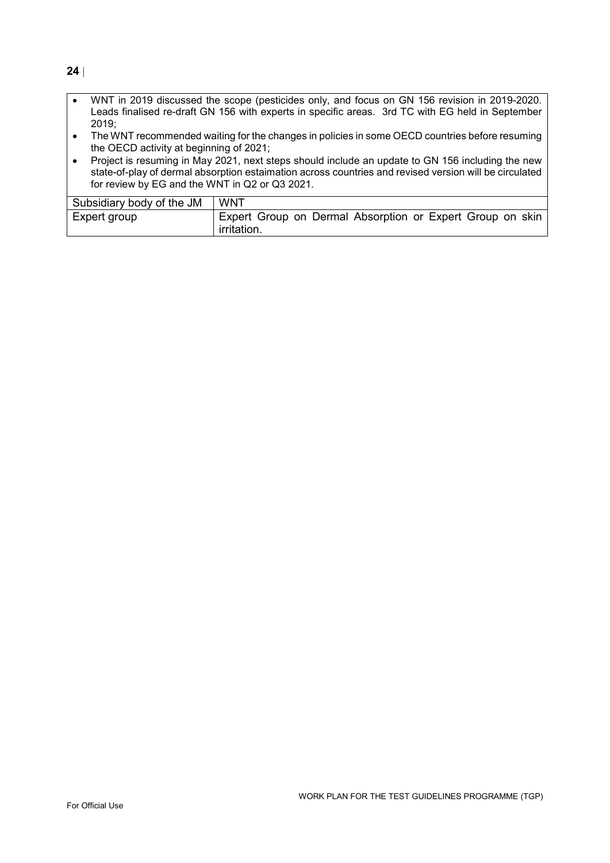- WNT in 2019 discussed the scope (pesticides only, and focus on GN 156 revision in 2019-2020. Leads finalised re-draft GN 156 with experts in specific areas. 3rd TC with EG held in September 2019;
- The WNT recommended waiting for the changes in policies in some OECD countries before resuming the OECD activity at beginning of 2021;
- Project is resuming in May 2021, next steps should include an update to GN 156 including the new state-of-play of dermal absorption estaimation across countries and revised version will be circulated for review by EG and the WNT in Q2 or Q3 2021.

| Subsidiary body of the JM | <b>WNT</b>                                                                      |
|---------------------------|---------------------------------------------------------------------------------|
| Expert group              | Expert Group on Dermal Absorption or Expert Group on skin<br><i>irritation.</i> |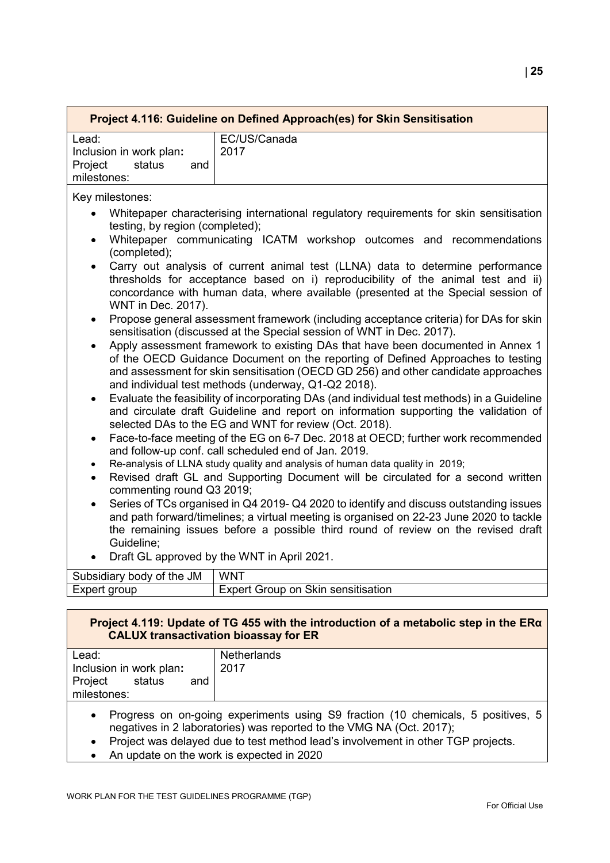| Project 4.116: Guideline on Defined Approach(es) for Skin Sensitisation |              |  |
|-------------------------------------------------------------------------|--------------|--|
| Lead:                                                                   | EC/US/Canada |  |
| Inclusion in work plan:                                                 | 2017         |  |
| Project<br>status<br>and                                                |              |  |
| milestones:                                                             |              |  |

Key milestones:

- Whitepaper characterising international regulatory requirements for skin sensitisation testing, by region (completed);
- Whitepaper communicating ICATM workshop outcomes and recommendations (completed);
- Carry out analysis of current animal test (LLNA) data to determine performance thresholds for acceptance based on i) reproducibility of the animal test and ii) concordance with human data, where available (presented at the Special session of WNT in Dec. 2017).
- Propose general assessment framework (including acceptance criteria) for DAs for skin sensitisation (discussed at the Special session of WNT in Dec. 2017).
- Apply assessment framework to existing DAs that have been documented in Annex 1 of the OECD Guidance Document on the reporting of Defined Approaches to testing and assessment for skin sensitisation (OECD GD 256) and other candidate approaches and individual test methods (underway, Q1-Q2 2018).
- Evaluate the feasibility of incorporating DAs (and individual test methods) in a Guideline and circulate draft Guideline and report on information supporting the validation of selected DAs to the EG and WNT for review (Oct. 2018).
- Face-to-face meeting of the EG on 6-7 Dec. 2018 at OECD; further work recommended and follow-up conf. call scheduled end of Jan. 2019.
- Re-analysis of LLNA study quality and analysis of human data quality in 2019;
- Revised draft GL and Supporting Document will be circulated for a second written commenting round Q3 2019;
- Series of TCs organised in Q4 2019- Q4 2020 to identify and discuss outstanding issues and path forward/timelines; a virtual meeting is organised on 22-23 June 2020 to tackle the remaining issues before a possible third round of review on the revised draft Guideline;
- Draft GL approved by the WNT in April 2021.

| Subsidiary body of the JM | <b>WNT</b>                           |
|---------------------------|--------------------------------------|
| Expert group              | ' Expert Group on Skin sensitisation |

#### **Project 4.119: Update of TG 455 with the introduction of a metabolic step in the ERα CALUX transactivation bioassay for ER**

| Lead:                    | Netherlands |
|--------------------------|-------------|
| Inclusion in work plan:  | 2017        |
| Project<br>status<br>and |             |
| milestones:              |             |
|                          |             |

- Progress on on-going experiments using S9 fraction (10 chemicals, 5 positives, 5 negatives in 2 laboratories) was reported to the VMG NA (Oct. 2017);
- Project was delayed due to test method lead's involvement in other TGP projects.
- An update on the work is expected in 2020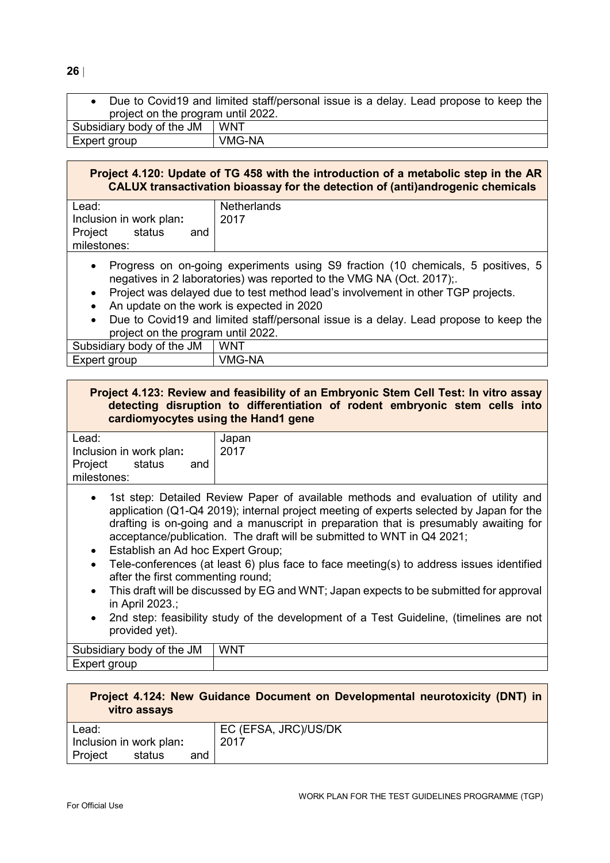• Due to Covid19 and limited staff/personal issue is a delay. Lead propose to keep the project on the program until 2022. Subsidiary body of the JM  $\parallel$  WNT Expert group VMG-NA

# **Project 4.120: Update of TG 458 with the introduction of a metabolic step in the AR CALUX transactivation bioassay for the detection of (anti)androgenic chemicals**

| Lead:                    | Netherlands |
|--------------------------|-------------|
| Inclusion in work plan:  | 2017        |
| Project<br>status<br>and |             |
| milestones:              |             |
|                          |             |

- Progress on on-going experiments using S9 fraction (10 chemicals, 5 positives, 5 negatives in 2 laboratories) was reported to the VMG NA (Oct. 2017);.
- Project was delayed due to test method lead's involvement in other TGP projects.
- An update on the work is expected in 2020
- Due to Covid19 and limited staff/personal issue is a delay. Lead propose to keep the project on the program until 2022.

| Subsidiary body of the JM | l WNT         |
|---------------------------|---------------|
| Expert group              | <b>VMG-NA</b> |

# **Project 4.123: Review and feasibility of an Embryonic Stem Cell Test: In vitro assay detecting disruption to differentiation of rodent embryonic stem cells into cardiomyocytes using the Hand1 gene**

| Lead:                                   | Japan |
|-----------------------------------------|-------|
| Inclusion in work plan:                 | 2017  |
| Project<br>status<br>and<br>milestones: |       |
|                                         |       |

- 1st step: Detailed Review Paper of available methods and evaluation of utility and application (Q1-Q4 2019); internal project meeting of experts selected by Japan for the drafting is on-going and a manuscript in preparation that is presumably awaiting for acceptance/publication. The draft will be submitted to WNT in Q4 2021;
- Establish an Ad hoc Expert Group;
- Tele-conferences (at least 6) plus face to face meeting(s) to address issues identified after the first commenting round;
- This draft will be discussed by EG and WNT; Japan expects to be submitted for approval in April 2023.;
- 2nd step: feasibility study of the development of a Test Guideline, (timelines are not provided yet).

| <b>JM</b><br>∽<br>.<br>the<br>.<br>. .<br>Ωt<br>-<br>н<br>10 I V<br>$\mathbf{v}$<br>siuldi | <b>WNT</b> |
|--------------------------------------------------------------------------------------------|------------|
| $\sim$ $\sim$ $\sim$ $\sim$                                                                |            |

| Project 4.124: New Guidance Document on Developmental neurotoxicity (DNT) in<br>vitro assays |        |     |                      |
|----------------------------------------------------------------------------------------------|--------|-----|----------------------|
| Lead:                                                                                        |        |     | EC (EFSA, JRC)/US/DK |
| Inclusion in work plan:                                                                      |        |     | 2017                 |
| Project                                                                                      | status | and |                      |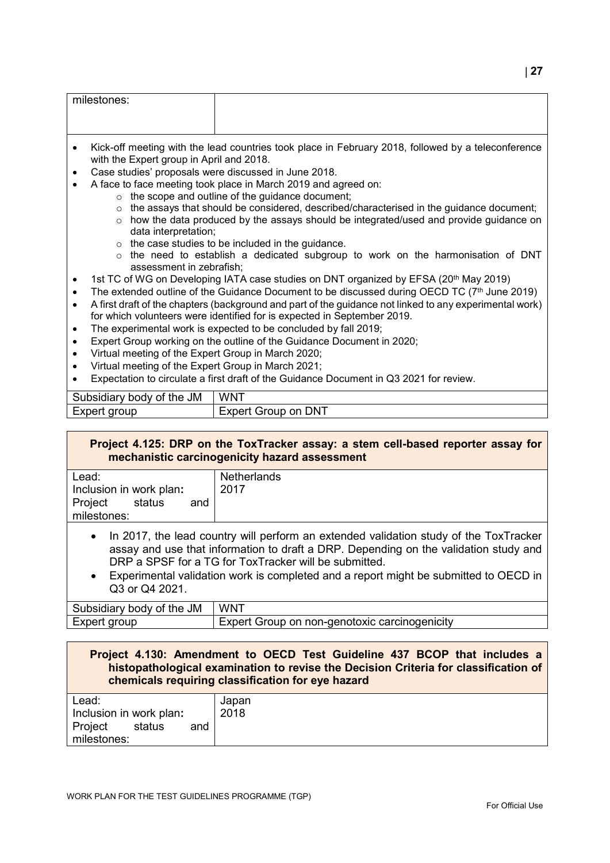| milestones:                                          |                                                                                                                           |
|------------------------------------------------------|---------------------------------------------------------------------------------------------------------------------------|
| with the Expert group in April and 2018.             | Kick-off meeting with the lead countries took place in February 2018, followed by a teleconference                        |
| Case studies' proposals were discussed in June 2018. |                                                                                                                           |
|                                                      | A face to face meeting took place in March 2019 and agreed on:<br>$\circ$ the scope and outline of the guidance document; |

- $\circ$   $\;$  the assays that should be considered, described/characterised in the guidance document;
- $\circ$  how the data produced by the assays should be integrated/used and provide guidance on data interpretation;
- $\circ$  the case studies to be included in the quidance.
- $\circ$  the need to establish a dedicated subgroup to work on the harmonisation of DNT assessment in zebrafish;
- 1st TC of WG on Developing IATA case studies on DNT organized by EFSA (20<sup>th</sup> May 2019)
- The extended outline of the Guidance Document to be discussed during OECD TC  $(7<sup>th</sup>$  June 2019)
- A first draft of the chapters (background and part of the guidance not linked to any experimental work) for which volunteers were identified for is expected in September 2019.
- The experimental work is expected to be concluded by fall 2019;
- Expert Group working on the outline of the Guidance Document in 2020;
- Virtual meeting of the Expert Group in March 2020;
- Virtual meeting of the Expert Group in March 2021;
- Expectation to circulate a first draft of the Guidance Document in Q3 2021 for review.

| the JM<br><b>JSIdiar</b><br>body of <sub>k</sub><br>our | WN <sup>'</sup>                     |
|---------------------------------------------------------|-------------------------------------|
| <b>-Yner</b><br>aroup<br>י ושי                          | , DNT<br>-xper'<br>Group<br>on<br>ີ |

# **Project 4.125: DRP on the ToxTracker assay: a stem cell-based reporter assay for mechanistic carcinogenicity hazard assessment**

| Lead:                                   | <b>Netherlands</b> |
|-----------------------------------------|--------------------|
| Inclusion in work plan:                 | 2017               |
| Project<br>status<br>and<br>milestones: |                    |

- In 2017, the lead country will perform an extended validation study of the ToxTracker assay and use that information to draft a DRP. Depending on the validation study and DRP a SPSF for a TG for ToxTracker will be submitted.
- Experimental validation work is completed and a report might be submitted to OECD in Q3 or Q4 2021.

| <b>JM</b><br>Subsidiary body of the | <b>WNT</b>                                         |
|-------------------------------------|----------------------------------------------------|
| Expert group                        | t Group on non-genotoxic carcinogenicity<br>Expert |

#### **Project 4.130: Amendment to OECD Test Guideline 437 BCOP that includes a histopathological examination to revise the Decision Criteria for classification of chemicals requiring classification for eye hazard**

| Lead:                    | Japan |
|--------------------------|-------|
| Inclusion in work plan:  | 2018  |
| Project<br>status<br>and |       |
| milestones:              |       |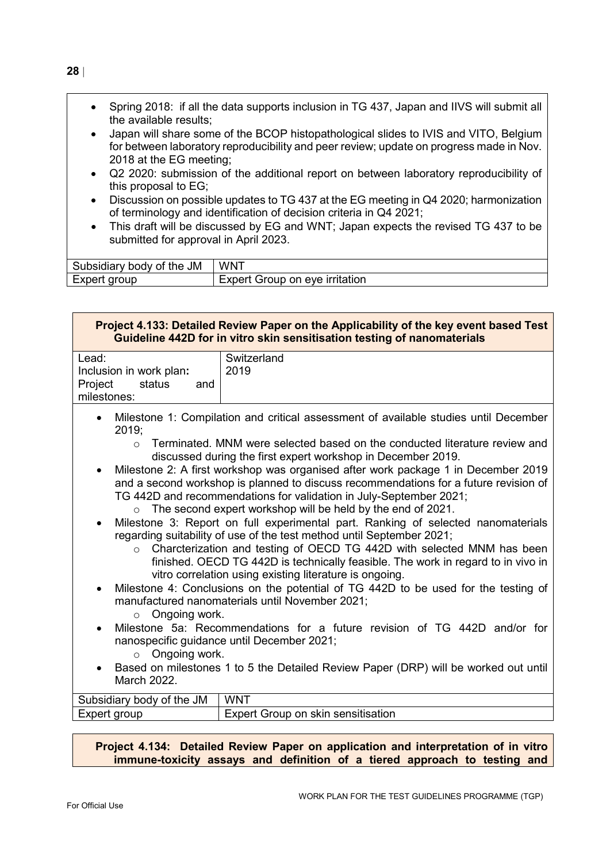- Spring 2018: if all the data supports inclusion in TG 437, Japan and IIVS will submit all the available results;
- Japan will share some of the BCOP histopathological slides to IVIS and VITO, Belgium for between laboratory reproducibility and peer review; update on progress made in Nov. 2018 at the EG meeting;
- Q2 2020: submission of the additional report on between laboratory reproducibility of this proposal to EG;
- Discussion on possible updates to TG 437 at the EG meeting in Q4 2020; harmonization of terminology and identification of decision criteria in Q4 2021;
- This draft will be discussed by EG and WNT; Japan expects the revised TG 437 to be submitted for approval in April 2023.

| Subsidiary body of the JM | <b>WNT</b>                |
|---------------------------|---------------------------|
| Expert                    | t Group on eye irritation |
| : aroup                   | Expert                    |

| Project 4.133: Detailed Review Paper on the Applicability of the key event based Test<br>Guideline 442D for in vitro skin sensitisation testing of nanomaterials                                                  |                                                                                                                                                                                                                                                                                                                                                                                                                                                                                                                                                                                                                                                                                                                                                                                                                                                                                                                                                                                                                                                                                                                                                                                                                                                                                                                                                                   |
|-------------------------------------------------------------------------------------------------------------------------------------------------------------------------------------------------------------------|-------------------------------------------------------------------------------------------------------------------------------------------------------------------------------------------------------------------------------------------------------------------------------------------------------------------------------------------------------------------------------------------------------------------------------------------------------------------------------------------------------------------------------------------------------------------------------------------------------------------------------------------------------------------------------------------------------------------------------------------------------------------------------------------------------------------------------------------------------------------------------------------------------------------------------------------------------------------------------------------------------------------------------------------------------------------------------------------------------------------------------------------------------------------------------------------------------------------------------------------------------------------------------------------------------------------------------------------------------------------|
| Lead:<br>Inclusion in work plan:<br>Project<br>status<br>and<br>milestones:                                                                                                                                       | Switzerland<br>2019                                                                                                                                                                                                                                                                                                                                                                                                                                                                                                                                                                                                                                                                                                                                                                                                                                                                                                                                                                                                                                                                                                                                                                                                                                                                                                                                               |
| $\bullet$<br>2019;<br>$\Omega$<br>$\bullet$<br>$\bullet$<br>$\circ$<br>$\bullet$<br>Ongoing work.<br>$\circ$<br>$\bullet$<br>Ongoing work.<br>$\circ$<br>March 2022.<br>Subsidiary body of the JM<br>Expert group | Milestone 1: Compilation and critical assessment of available studies until December<br>Terminated. MNM were selected based on the conducted literature review and<br>discussed during the first expert workshop in December 2019.<br>Milestone 2: A first workshop was organised after work package 1 in December 2019<br>and a second workshop is planned to discuss recommendations for a future revision of<br>TG 442D and recommendations for validation in July-September 2021;<br>$\circ$ The second expert workshop will be held by the end of 2021.<br>Milestone 3: Report on full experimental part. Ranking of selected nanomaterials<br>regarding suitability of use of the test method until September 2021;<br>Charcterization and testing of OECD TG 442D with selected MNM has been<br>finished. OECD TG 442D is technically feasible. The work in regard to in vivo in<br>vitro correlation using existing literature is ongoing.<br>Milestone 4: Conclusions on the potential of TG 442D to be used for the testing of<br>manufactured nanomaterials until November 2021;<br>Milestone 5a: Recommendations for a future revision of TG 442D and/or for<br>nanospecific guidance until December 2021;<br>Based on milestones 1 to 5 the Detailed Review Paper (DRP) will be worked out until<br><b>WNT</b><br>Expert Group on skin sensitisation |
|                                                                                                                                                                                                                   | Project 4.134: Detailed Review Paper on application and interpretation of in vitro                                                                                                                                                                                                                                                                                                                                                                                                                                                                                                                                                                                                                                                                                                                                                                                                                                                                                                                                                                                                                                                                                                                                                                                                                                                                                |

**immune-toxicity assays and definition of a tiered approach to testing and**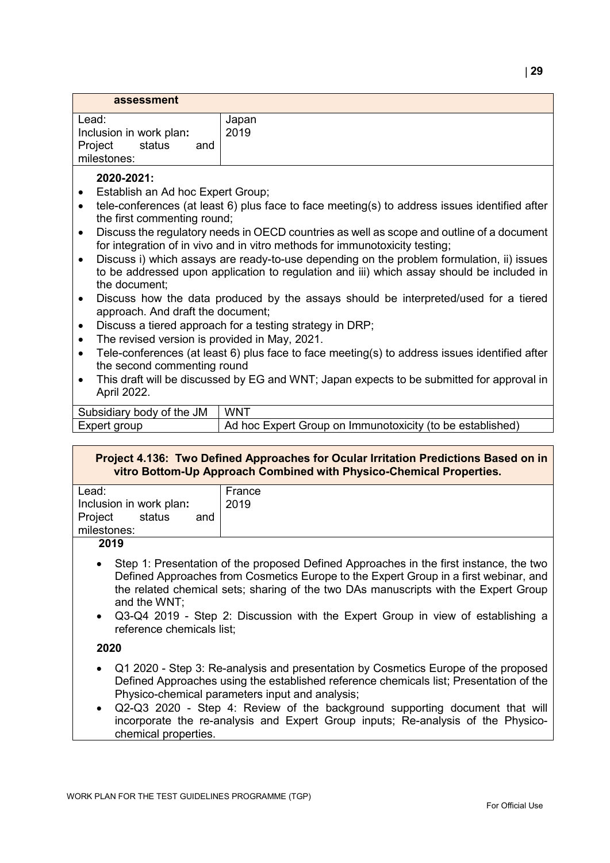| assessment                                                                  |               |
|-----------------------------------------------------------------------------|---------------|
| Lead:<br>Inclusion in work plan:<br>Project<br>status<br>and<br>milestones: | Japan<br>2019 |

# **2020-2021:**

- Establish an Ad hoc Expert Group;
- tele-conferences (at least 6) plus face to face meeting(s) to address issues identified after the first commenting round;
- Discuss the regulatory needs in OECD countries as well as scope and outline of a document for integration of in vivo and in vitro methods for immunotoxicity testing;
- Discuss i) which assays are ready-to-use depending on the problem formulation, ii) issues to be addressed upon application to regulation and iii) which assay should be included in the document;
- Discuss how the data produced by the assays should be interpreted/used for a tiered approach. And draft the document;
- Discuss a tiered approach for a testing strategy in DRP;
- The revised version is provided in May, 2021.
- Tele-conferences (at least 6) plus face to face meeting(s) to address issues identified after the second commenting round
- This draft will be discussed by EG and WNT; Japan expects to be submitted for approval in April 2022.

| Subsidiary body of the JM | WNT                                                       |
|---------------------------|-----------------------------------------------------------|
| Expert group              | Ad hoc Expert Group on Immunotoxicity (to be established) |

#### **Project 4.136: Two Defined Approaches for Ocular Irritation Predictions Based on in vitro Bottom-Up Approach Combined with Physico-Chemical Properties.**

| Lead:                    | France |
|--------------------------|--------|
| Inclusion in work plan:  | 2019   |
| Project<br>status<br>and |        |
| milestones:              |        |
| 2019                     |        |

- 
- Step 1: Presentation of the proposed Defined Approaches in the first instance, the two Defined Approaches from Cosmetics Europe to the Expert Group in a first webinar, and the related chemical sets; sharing of the two DAs manuscripts with the Expert Group and the WNT;
- Q3-Q4 2019 Step 2: Discussion with the Expert Group in view of establishing a reference chemicals list;

# **2020**

- Q1 2020 Step 3: Re-analysis and presentation by Cosmetics Europe of the proposed Defined Approaches using the established reference chemicals list; Presentation of the Physico-chemical parameters input and analysis;
- Q2-Q3 2020 Step 4: Review of the background supporting document that will incorporate the re-analysis and Expert Group inputs; Re-analysis of the Physicochemical properties.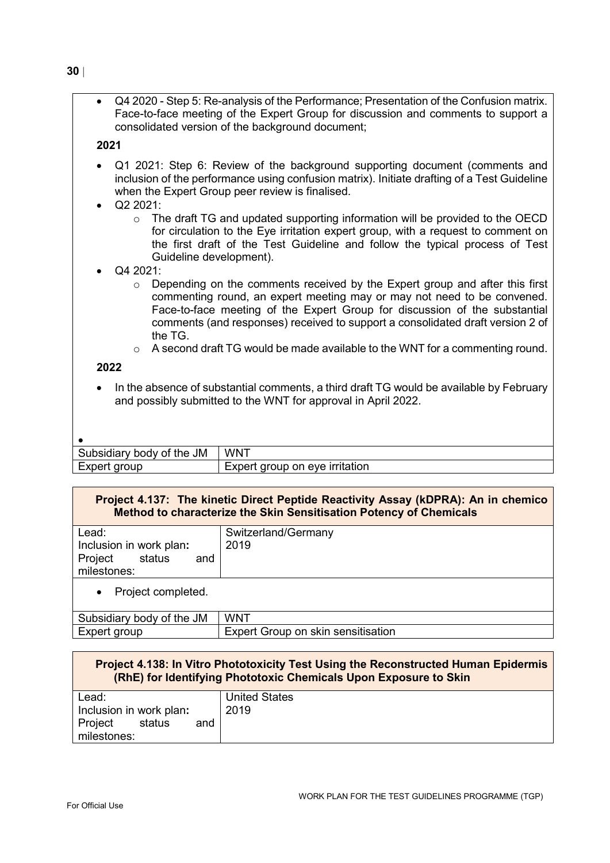• Q4 2020 - Step 5: Re-analysis of the Performance; Presentation of the Confusion matrix. Face-to-face meeting of the Expert Group for discussion and comments to support a consolidated version of the background document;

# **2021**

- Q1 2021: Step 6: Review of the background supporting document (comments and inclusion of the performance using confusion matrix). Initiate drafting of a Test Guideline when the Expert Group peer review is finalised.
- Q2 2021:
	- o The draft TG and updated supporting information will be provided to the OECD for circulation to the Eye irritation expert group, with a request to comment on the first draft of the Test Guideline and follow the typical process of Test Guideline development).
- Q4 2021:
	- $\circ$  Depending on the comments received by the Expert group and after this first commenting round, an expert meeting may or may not need to be convened. Face-to-face meeting of the Expert Group for discussion of the substantial comments (and responses) received to support a consolidated draft version 2 of the TG.
	- $\circ$  A second draft TG would be made available to the WNT for a commenting round.

# **2022**

• In the absence of substantial comments, a third draft TG would be available by February and possibly submitted to the WNT for approval in April 2022.

| Subsidiary body of the JM | <b>WNT</b>                     |
|---------------------------|--------------------------------|
| Expert group              | Expert group on eye irritation |

# **Project 4.137: The kinetic Direct Peptide Reactivity Assay (kDPRA): An in chemico Method to characterize the Skin Sensitisation Potency of Chemicals**

| Lead:<br>Inclusion in work plan:<br>Project<br>status<br>and<br>milestones: | Switzerland/Germany<br>2019 |
|-----------------------------------------------------------------------------|-----------------------------|
| Project completed.<br>$\bullet$                                             |                             |
| Suboidiary body of the IM                                                   | <b>IMINIT</b>               |

| Subsidiary body of the JM | WN <sup>-</sup>                                            |
|---------------------------|------------------------------------------------------------|
| Expert group              | <sup>+</sup> Group on skin sensitisation<br><b>L</b> xnert |
|                           |                                                            |

| <b>Project 4.138: In Vitro Phototoxicity Test Using the Reconstructed Human Epidermis</b><br>(RhE) for Identifying Phototoxic Chemicals Upon Exposure to Skin |                      |
|---------------------------------------------------------------------------------------------------------------------------------------------------------------|----------------------|
| Lead:                                                                                                                                                         | <b>United States</b> |
| Inclusion in work plan:                                                                                                                                       | 2019                 |
| Project<br>status<br>and                                                                                                                                      |                      |
| milestones:                                                                                                                                                   |                      |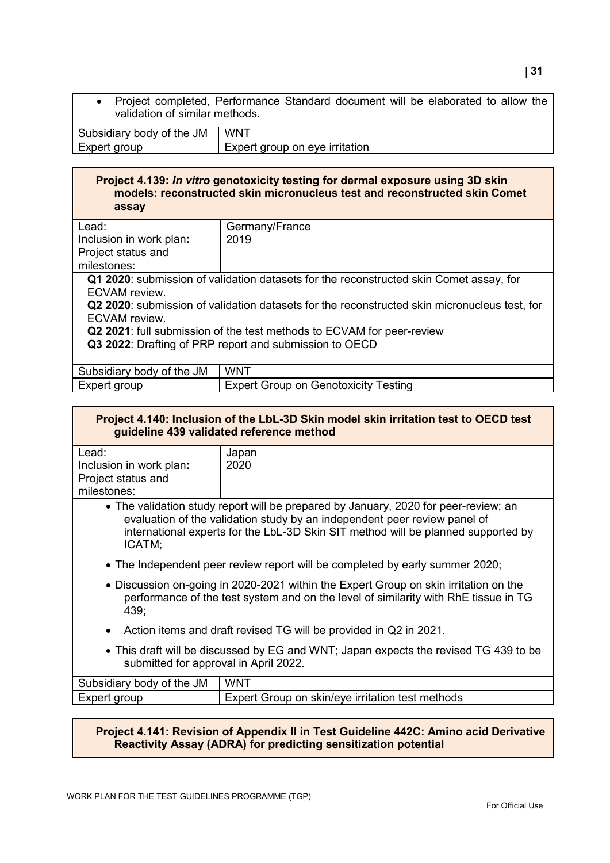• Project completed, Performance Standard document will be elaborated to allow the validation of similar methods.

| JM<br>the<br>$\sim$<br>Οl<br>м<br>ouv<br>usiulal<br>$\mathbf{v}$ | $WW^T$                                                                               |
|------------------------------------------------------------------|--------------------------------------------------------------------------------------|
| aroup                                                            | <u>ırrıtatıon</u><br>$\overline{\mathbf{v}}$<br>eve<br>aroun<br>nn.<br>יטו<br>ີ<br>ุ |

# **Project 4.139:** *In vitro* **genotoxicity testing for dermal exposure using 3D skin models: reconstructed skin micronucleus test and reconstructed skin Comet assay**

| Lead:                                                                                        | Germany/France                                                                         |  |
|----------------------------------------------------------------------------------------------|----------------------------------------------------------------------------------------|--|
| Inclusion in work plan:                                                                      | 2019                                                                                   |  |
| Project status and                                                                           |                                                                                        |  |
| milestones:                                                                                  |                                                                                        |  |
|                                                                                              | Q1 2020: submission of validation datasets for the reconstructed skin Comet assay, for |  |
| ECVAM review.                                                                                |                                                                                        |  |
| Q2 2020: submission of validation datasets for the reconstructed skin micronucleus test, for |                                                                                        |  |
| ECVAM review.                                                                                |                                                                                        |  |
| Q2 2021: full submission of the test methods to ECVAM for peer-review                        |                                                                                        |  |
| Q3 2022: Drafting of PRP report and submission to OECD                                       |                                                                                        |  |
|                                                                                              |                                                                                        |  |
| Subsidiary body of the JM                                                                    | <b>WNT</b>                                                                             |  |
| Expert group                                                                                 | <b>Expert Group on Genotoxicity Testing</b>                                            |  |

| Project 4.140: Inclusion of the LbL-3D Skin model skin irritation test to OECD test<br>guideline 439 validated reference method                                                                                                                                 |                                                  |  |
|-----------------------------------------------------------------------------------------------------------------------------------------------------------------------------------------------------------------------------------------------------------------|--------------------------------------------------|--|
| Lead:                                                                                                                                                                                                                                                           | Japan                                            |  |
| Inclusion in work plan:                                                                                                                                                                                                                                         | 2020                                             |  |
| Project status and                                                                                                                                                                                                                                              |                                                  |  |
| milestones:                                                                                                                                                                                                                                                     |                                                  |  |
| • The validation study report will be prepared by January, 2020 for peer-review; an<br>evaluation of the validation study by an independent peer review panel of<br>international experts for the LbL-3D Skin SIT method will be planned supported by<br>ICATM; |                                                  |  |
| • The Independent peer review report will be completed by early summer 2020;                                                                                                                                                                                    |                                                  |  |
| • Discussion on-going in 2020-2021 within the Expert Group on skin irritation on the<br>performance of the test system and on the level of similarity with RhE tissue in TG<br>439;                                                                             |                                                  |  |
| Action items and draft revised TG will be provided in Q2 in 2021.                                                                                                                                                                                               |                                                  |  |
| • This draft will be discussed by EG and WNT; Japan expects the revised TG 439 to be<br>submitted for approval in April 2022.                                                                                                                                   |                                                  |  |
| Subsidiary body of the JM                                                                                                                                                                                                                                       | <b>WNT</b>                                       |  |
| Expert group                                                                                                                                                                                                                                                    | Expert Group on skin/eye irritation test methods |  |

# **Project 4.141: Revision of Appendix II in Test Guideline 442C: Amino acid Derivative Reactivity Assay (ADRA) for predicting sensitization potential**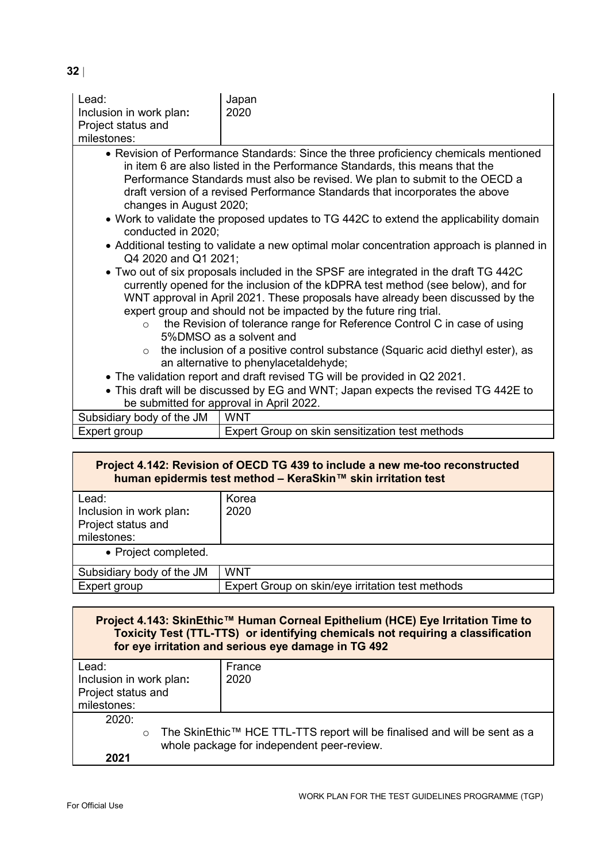| Lead:<br>Inclusion in work plan:<br>Project status and<br>milestones:                                                                                                                                                                                                                                                                                                                                                                             | Japan<br>2020                                                                                                                                                                                                                                                                                                                      |  |
|---------------------------------------------------------------------------------------------------------------------------------------------------------------------------------------------------------------------------------------------------------------------------------------------------------------------------------------------------------------------------------------------------------------------------------------------------|------------------------------------------------------------------------------------------------------------------------------------------------------------------------------------------------------------------------------------------------------------------------------------------------------------------------------------|--|
| changes in August 2020;                                                                                                                                                                                                                                                                                                                                                                                                                           | • Revision of Performance Standards: Since the three proficiency chemicals mentioned<br>in item 6 are also listed in the Performance Standards, this means that the<br>Performance Standards must also be revised. We plan to submit to the OECD a<br>draft version of a revised Performance Standards that incorporates the above |  |
| conducted in 2020:                                                                                                                                                                                                                                                                                                                                                                                                                                | • Work to validate the proposed updates to TG 442C to extend the applicability domain                                                                                                                                                                                                                                              |  |
| • Additional testing to validate a new optimal molar concentration approach is planned in<br>Q4 2020 and Q1 2021;                                                                                                                                                                                                                                                                                                                                 |                                                                                                                                                                                                                                                                                                                                    |  |
| • Two out of six proposals included in the SPSF are integrated in the draft TG 442C<br>currently opened for the inclusion of the kDPRA test method (see below), and for<br>WNT approval in April 2021. These proposals have already been discussed by the<br>expert group and should not be impacted by the future ring trial.<br>the Revision of tolerance range for Reference Control C in case of using<br>$\Omega$<br>5%DMSO as a solvent and |                                                                                                                                                                                                                                                                                                                                    |  |
| the inclusion of a positive control substance (Squaric acid diethyl ester), as<br>$\circ$<br>an alternative to phenylacetaldehyde;                                                                                                                                                                                                                                                                                                                |                                                                                                                                                                                                                                                                                                                                    |  |
| • The validation report and draft revised TG will be provided in Q2 2021.                                                                                                                                                                                                                                                                                                                                                                         |                                                                                                                                                                                                                                                                                                                                    |  |
|                                                                                                                                                                                                                                                                                                                                                                                                                                                   | • This draft will be discussed by EG and WNT; Japan expects the revised TG 442E to                                                                                                                                                                                                                                                 |  |
|                                                                                                                                                                                                                                                                                                                                                                                                                                                   | be submitted for approval in April 2022.                                                                                                                                                                                                                                                                                           |  |
| Subsidiary body of the JM                                                                                                                                                                                                                                                                                                                                                                                                                         | <b>WNT</b>                                                                                                                                                                                                                                                                                                                         |  |
| Expert group                                                                                                                                                                                                                                                                                                                                                                                                                                      | Expert Group on skin sensitization test methods                                                                                                                                                                                                                                                                                    |  |

| Project 4.142: Revision of OECD TG 439 to include a new me-too reconstructed<br>human epidermis test method - KeraSkin™ skin irritation test |                                                  |
|----------------------------------------------------------------------------------------------------------------------------------------------|--------------------------------------------------|
| Lead:<br>Inclusion in work plan:<br>Project status and<br>milestones:                                                                        | Korea<br>2020                                    |
| • Project completed.                                                                                                                         |                                                  |
| Subsidiary body of the JM                                                                                                                    | <b>WNT</b>                                       |
| Expert group                                                                                                                                 | Expert Group on skin/eye irritation test methods |

| Project 4.143: SkinEthic™ Human Corneal Epithelium (HCE) Eye Irritation Time to<br>Toxicity Test (TTL-TTS) or identifying chemicals not requiring a classification<br>for eye irritation and serious eye damage in TG 492 |                                            |  |
|---------------------------------------------------------------------------------------------------------------------------------------------------------------------------------------------------------------------------|--------------------------------------------|--|
| Lead:<br>Inclusion in work plan:                                                                                                                                                                                          | France<br>2020                             |  |
| Project status and                                                                                                                                                                                                        |                                            |  |
|                                                                                                                                                                                                                           |                                            |  |
| milestones:                                                                                                                                                                                                               |                                            |  |
| 2020:                                                                                                                                                                                                                     |                                            |  |
| The SkinEthic™ HCE TTL-TTS report will be finalised and will be sent as a<br>$\circ$                                                                                                                                      |                                            |  |
|                                                                                                                                                                                                                           | whole package for independent peer-review. |  |
| 2021                                                                                                                                                                                                                      |                                            |  |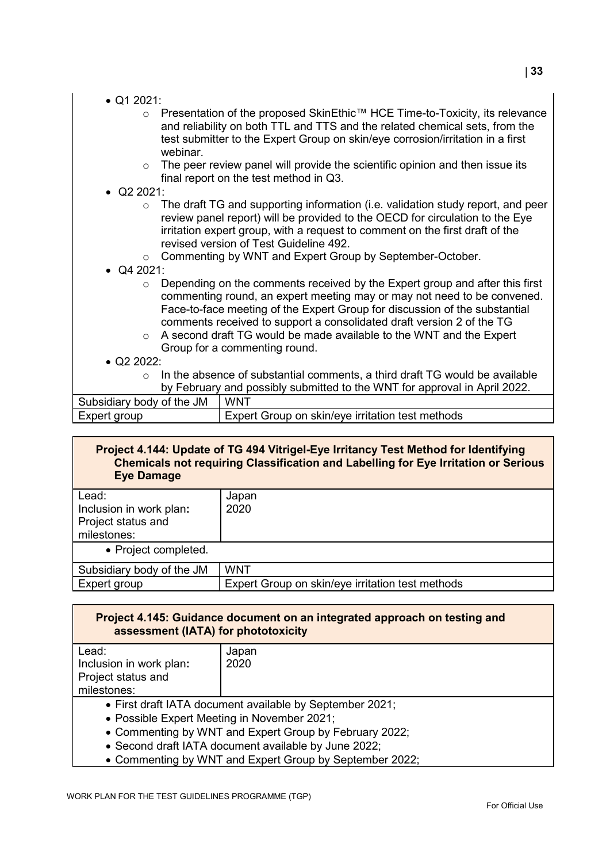|  | $\bullet$ Q1 2021: |
|--|--------------------|
|  |                    |

- o Presentation of the proposed SkinEthic™ HCE Time-to-Toxicity, its relevance and reliability on both TTL and TTS and the related chemical sets, from the test submitter to the Expert Group on skin/eye corrosion/irritation in a first webinar.
- $\circ$  The peer review panel will provide the scientific opinion and then issue its final report on the test method in Q3.

# • Q2 2021:

- $\circ$  The draft TG and supporting information (i.e. validation study report, and peer review panel report) will be provided to the OECD for circulation to the Eye irritation expert group, with a request to comment on the first draft of the revised version of Test Guideline 492.
- o Commenting by WNT and Expert Group by September-October.
- Q4 2021:
	- $\circ$  Depending on the comments received by the Expert group and after this first commenting round, an expert meeting may or may not need to be convened. Face-to-face meeting of the Expert Group for discussion of the substantial comments received to support a consolidated draft version 2 of the TG
	- o A second draft TG would be made available to the WNT and the Expert Group for a commenting round.
- $\bullet$  Q2 2022:
	- In the absence of substantial comments, a third draft TG would be available by February and possibly submitted to the WNT for approval in April 2022.

| Subsidiary body of the JM | <b>WNT</b>                                       |
|---------------------------|--------------------------------------------------|
| Expert group              | Expert Group on skin/eye irritation test methods |

# **Project 4.144: Update of TG 494 Vitrigel-Eye Irritancy Test Method for Identifying Chemicals not requiring Classification and Labelling for Eye Irritation or Serious Eye Damage**

| Lead:<br>Inclusion in work plan:<br><b>Project status and</b><br>milestones: | Japan<br>2020                                    |
|------------------------------------------------------------------------------|--------------------------------------------------|
| • Project completed.                                                         |                                                  |
| Subsidiary body of the JM                                                    | <b>WNT</b>                                       |
| Expert group                                                                 | Expert Group on skin/eye irritation test methods |

| Project 4.145: Guidance document on an integrated approach on testing and<br>assessment (IATA) for phototoxicity |                                                          |
|------------------------------------------------------------------------------------------------------------------|----------------------------------------------------------|
| Lead:                                                                                                            | Japan                                                    |
| Inclusion in work plan:                                                                                          | 2020                                                     |
| Project status and                                                                                               |                                                          |
| milestones:                                                                                                      |                                                          |
|                                                                                                                  | • First draft IATA document available by September 2021; |
| • Possible Expert Meeting in November 2021;                                                                      |                                                          |
| • Commenting by WNT and Expert Group by February 2022;                                                           |                                                          |
| • Second draft IATA document available by June 2022;                                                             |                                                          |
| • Commenting by WNT and Expert Group by September 2022;                                                          |                                                          |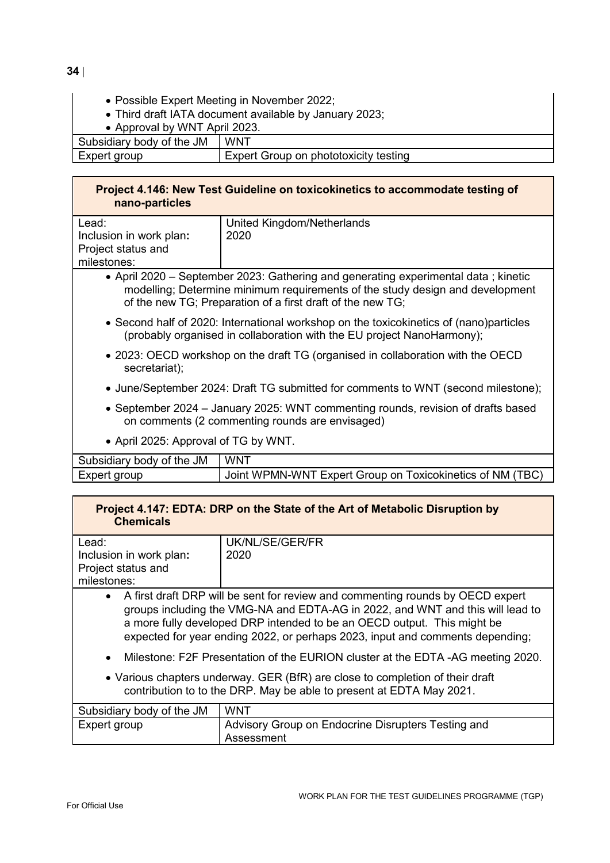- Possible Expert Meeting in November 2022;
	- Third draft IATA document available by January 2023;

• Approval by WNT April 2023.

Subsidiary body of the JM WNT

| Expert group | Expert Group on phototoxicity testing |
|--------------|---------------------------------------|
|              |                                       |

# **Project 4.146: New Test Guideline on toxicokinetics to accommodate testing of nano-particles**

| Lead:                   | United Kingdom/Netherlands |
|-------------------------|----------------------------|
| Inclusion in work plan: | 2020                       |
| Project status and      |                            |
| milestones:             |                            |
|                         |                            |

- April 2020 September 2023: Gathering and generating experimental data ; kinetic modelling; Determine minimum requirements of the study design and development of the new TG; Preparation of a first draft of the new TG;
- Second half of 2020: International workshop on the toxicokinetics of (nano)particles (probably organised in collaboration with the EU project NanoHarmony);
- 2023: OECD workshop on the draft TG (organised in collaboration with the OECD secretariat);
- June/September 2024: Draft TG submitted for comments to WNT (second milestone);
- September 2024 January 2025: WNT commenting rounds, revision of drafts based on comments (2 commenting rounds are envisaged)
- April 2025: Approval of TG by WNT.

| Subsidiary body of the JM | <b>WNT</b>                                                |
|---------------------------|-----------------------------------------------------------|
| Expert group              | Joint WPMN-WNT Expert Group on Toxicokinetics of NM (TBC) |

# **Project 4.147: EDTA: DRP on the State of the Art of Metabolic Disruption by Chemicals**

| Lead:                                                                          | UK/NL/SE/GER/FR |
|--------------------------------------------------------------------------------|-----------------|
| Inclusion in work plan:                                                        | 2020            |
| Project status and                                                             |                 |
| milestones:                                                                    |                 |
| A first draft DRP will be sent for review and commenting rounds by OECD expert |                 |

groups including the VMG-NA and EDTA-AG in 2022, and WNT and this will lead to a more fully developed DRP intended to be an OECD output. This might be expected for year ending 2022, or perhaps 2023, input and comments depending;

- Milestone: F2F Presentation of the EURION cluster at the EDTA -AG meeting 2020.
- Various chapters underway. GER (BfR) are close to completion of their draft contribution to to the DRP. May be able to present at EDTA May 2021.

| Subsidiary body of the JM | <b>WNT</b>                                         |
|---------------------------|----------------------------------------------------|
| Expert group              | Advisory Group on Endocrine Disrupters Testing and |
|                           | Assessment                                         |

WORK PLAN FOR THE TEST GUIDELINES PROGRAMME (TGP)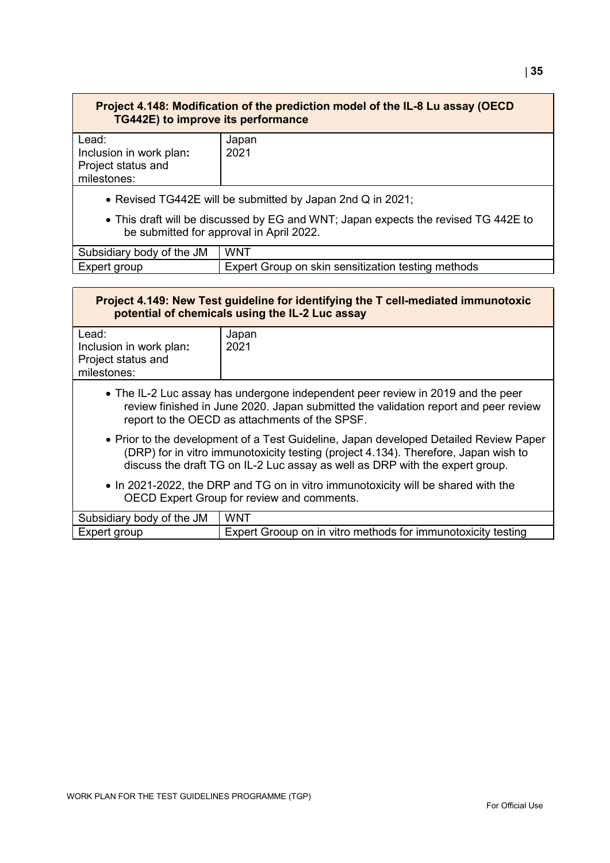# **Project 4.148: Modification of the prediction model of the IL-8 Lu assay (OECD TG442E) to improve its performance**

| Lead:                   | Japan |
|-------------------------|-------|
| Inclusion in work plan: | 2021  |
| Project status and      |       |
| milestones:             |       |
|                         |       |

- Revised TG442E will be submitted by Japan 2nd Q in 2021;
- This draft will be discussed by EG and WNT; Japan expects the revised TG 442E to be submitted for approval in April 2022.

| Subsidiary body of the JM | <b>WNT</b>                                         |
|---------------------------|----------------------------------------------------|
| Expert group              | Expert Group on skin sensitization testing methods |

| Project 4.149: New Test guideline for identifying the T cell-mediated immunotoxic<br>potential of chemicals using the IL-2 Luc assay                                                                                                                         |                                                              |  |  |  |  |
|--------------------------------------------------------------------------------------------------------------------------------------------------------------------------------------------------------------------------------------------------------------|--------------------------------------------------------------|--|--|--|--|
| Lead:<br>Inclusion in work plan:<br>Project status and<br>milestones:                                                                                                                                                                                        | Japan<br>2021                                                |  |  |  |  |
| • The IL-2 Luc assay has undergone independent peer review in 2019 and the peer<br>review finished in June 2020. Japan submitted the validation report and peer review<br>report to the OECD as attachments of the SPSF.                                     |                                                              |  |  |  |  |
| • Prior to the development of a Test Guideline, Japan developed Detailed Review Paper<br>(DRP) for in vitro immunotoxicity testing (project 4.134). Therefore, Japan wish to<br>discuss the draft TG on IL-2 Luc assay as well as DRP with the expert group. |                                                              |  |  |  |  |
| • In 2021-2022, the DRP and TG on in vitro immunotoxicity will be shared with the<br>OECD Expert Group for review and comments.                                                                                                                              |                                                              |  |  |  |  |
| Subsidiary body of the JM                                                                                                                                                                                                                                    | <b>WNT</b>                                                   |  |  |  |  |
| Expert group                                                                                                                                                                                                                                                 | Expert Grooup on in vitro methods for immunotoxicity testing |  |  |  |  |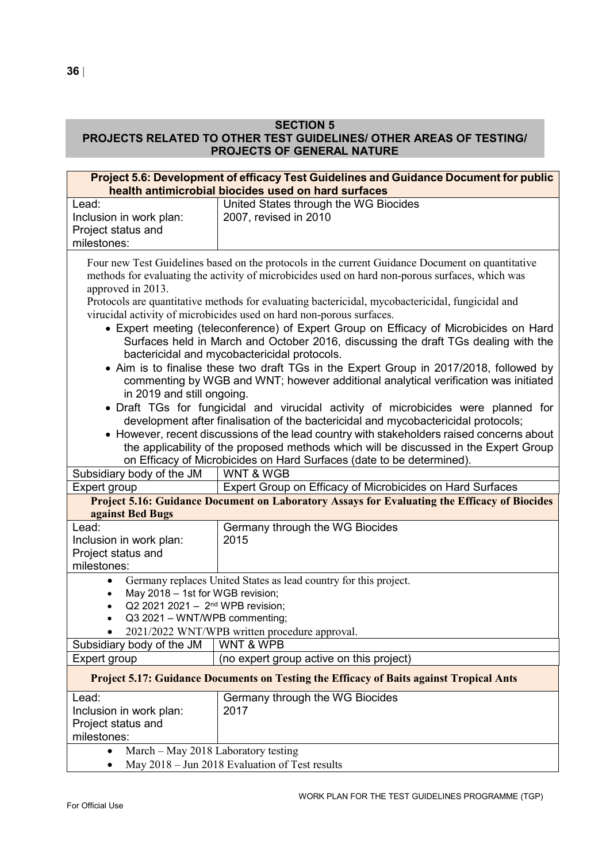# **SECTION 5**

# **PROJECTS RELATED TO OTHER TEST GUIDELINES/ OTHER AREAS OF TESTING/ PROJECTS OF GENERAL NATURE**

|                                                                                                                                                                                                                                                                                                                                                                                                                                                                                                                                                                                                                                                                                                                                                                                                                                                                                                                                                                                                                                                                                                                                                                                                                                                                                               | Project 5.6: Development of efficacy Test Guidelines and Guidance Document for public<br>health antimicrobial biocides used on hard surfaces |  |  |  |  |
|-----------------------------------------------------------------------------------------------------------------------------------------------------------------------------------------------------------------------------------------------------------------------------------------------------------------------------------------------------------------------------------------------------------------------------------------------------------------------------------------------------------------------------------------------------------------------------------------------------------------------------------------------------------------------------------------------------------------------------------------------------------------------------------------------------------------------------------------------------------------------------------------------------------------------------------------------------------------------------------------------------------------------------------------------------------------------------------------------------------------------------------------------------------------------------------------------------------------------------------------------------------------------------------------------|----------------------------------------------------------------------------------------------------------------------------------------------|--|--|--|--|
| Lead:                                                                                                                                                                                                                                                                                                                                                                                                                                                                                                                                                                                                                                                                                                                                                                                                                                                                                                                                                                                                                                                                                                                                                                                                                                                                                         | United States through the WG Biocides                                                                                                        |  |  |  |  |
| Inclusion in work plan:                                                                                                                                                                                                                                                                                                                                                                                                                                                                                                                                                                                                                                                                                                                                                                                                                                                                                                                                                                                                                                                                                                                                                                                                                                                                       | 2007, revised in 2010                                                                                                                        |  |  |  |  |
| Project status and                                                                                                                                                                                                                                                                                                                                                                                                                                                                                                                                                                                                                                                                                                                                                                                                                                                                                                                                                                                                                                                                                                                                                                                                                                                                            |                                                                                                                                              |  |  |  |  |
| milestones:                                                                                                                                                                                                                                                                                                                                                                                                                                                                                                                                                                                                                                                                                                                                                                                                                                                                                                                                                                                                                                                                                                                                                                                                                                                                                   |                                                                                                                                              |  |  |  |  |
| Four new Test Guidelines based on the protocols in the current Guidance Document on quantitative<br>methods for evaluating the activity of microbicides used on hard non-porous surfaces, which was<br>approved in 2013.<br>Protocols are quantitative methods for evaluating bactericidal, mycobactericidal, fungicidal and<br>virucidal activity of microbicides used on hard non-porous surfaces.<br>• Expert meeting (teleconference) of Expert Group on Efficacy of Microbicides on Hard<br>Surfaces held in March and October 2016, discussing the draft TGs dealing with the<br>bactericidal and mycobactericidal protocols.<br>• Aim is to finalise these two draft TGs in the Expert Group in 2017/2018, followed by<br>commenting by WGB and WNT; however additional analytical verification was initiated<br>in 2019 and still ongoing.<br>• Draft TGs for fungicidal and virucidal activity of microbicides were planned for<br>development after finalisation of the bactericidal and mycobactericidal protocols;<br>• However, recent discussions of the lead country with stakeholders raised concerns about<br>the applicability of the proposed methods which will be discussed in the Expert Group<br>on Efficacy of Microbicides on Hard Surfaces (date to be determined). |                                                                                                                                              |  |  |  |  |
| Subsidiary body of the JM                                                                                                                                                                                                                                                                                                                                                                                                                                                                                                                                                                                                                                                                                                                                                                                                                                                                                                                                                                                                                                                                                                                                                                                                                                                                     | <b>WNT &amp; WGB</b>                                                                                                                         |  |  |  |  |
| Expert group                                                                                                                                                                                                                                                                                                                                                                                                                                                                                                                                                                                                                                                                                                                                                                                                                                                                                                                                                                                                                                                                                                                                                                                                                                                                                  | Expert Group on Efficacy of Microbicides on Hard Surfaces                                                                                    |  |  |  |  |
| against Bed Bugs                                                                                                                                                                                                                                                                                                                                                                                                                                                                                                                                                                                                                                                                                                                                                                                                                                                                                                                                                                                                                                                                                                                                                                                                                                                                              | Project 5.16: Guidance Document on Laboratory Assays for Evaluating the Efficacy of Biocides                                                 |  |  |  |  |
| Lead:<br>Inclusion in work plan:<br>Project status and                                                                                                                                                                                                                                                                                                                                                                                                                                                                                                                                                                                                                                                                                                                                                                                                                                                                                                                                                                                                                                                                                                                                                                                                                                        | Germany through the WG Biocides<br>2015                                                                                                      |  |  |  |  |
| milestones:                                                                                                                                                                                                                                                                                                                                                                                                                                                                                                                                                                                                                                                                                                                                                                                                                                                                                                                                                                                                                                                                                                                                                                                                                                                                                   |                                                                                                                                              |  |  |  |  |
| $\bullet$<br>May 2018 - 1st for WGB revision;<br>$\bullet$<br>Q2 2021 2021 - 2 <sup>nd</sup> WPB revision;<br>Q3 2021 - WNT/WPB commenting;                                                                                                                                                                                                                                                                                                                                                                                                                                                                                                                                                                                                                                                                                                                                                                                                                                                                                                                                                                                                                                                                                                                                                   | Germany replaces United States as lead country for this project.<br>2021/2022 WNT/WPB written procedure approval.                            |  |  |  |  |
| Subsidiary body of the JM                                                                                                                                                                                                                                                                                                                                                                                                                                                                                                                                                                                                                                                                                                                                                                                                                                                                                                                                                                                                                                                                                                                                                                                                                                                                     | <b>WNT &amp; WPB</b>                                                                                                                         |  |  |  |  |
| Expert group                                                                                                                                                                                                                                                                                                                                                                                                                                                                                                                                                                                                                                                                                                                                                                                                                                                                                                                                                                                                                                                                                                                                                                                                                                                                                  | (no expert group active on this project)                                                                                                     |  |  |  |  |
|                                                                                                                                                                                                                                                                                                                                                                                                                                                                                                                                                                                                                                                                                                                                                                                                                                                                                                                                                                                                                                                                                                                                                                                                                                                                                               | <b>Project 5.17: Guidance Documents on Testing the Efficacy of Baits against Tropical Ants</b>                                               |  |  |  |  |
| Lead:<br>Inclusion in work plan:<br>Project status and<br>milestones:                                                                                                                                                                                                                                                                                                                                                                                                                                                                                                                                                                                                                                                                                                                                                                                                                                                                                                                                                                                                                                                                                                                                                                                                                         | Germany through the WG Biocides<br>2017                                                                                                      |  |  |  |  |
| March - May 2018 Laboratory testing<br>٠                                                                                                                                                                                                                                                                                                                                                                                                                                                                                                                                                                                                                                                                                                                                                                                                                                                                                                                                                                                                                                                                                                                                                                                                                                                      |                                                                                                                                              |  |  |  |  |
| ٠                                                                                                                                                                                                                                                                                                                                                                                                                                                                                                                                                                                                                                                                                                                                                                                                                                                                                                                                                                                                                                                                                                                                                                                                                                                                                             | May 2018 - Jun 2018 Evaluation of Test results                                                                                               |  |  |  |  |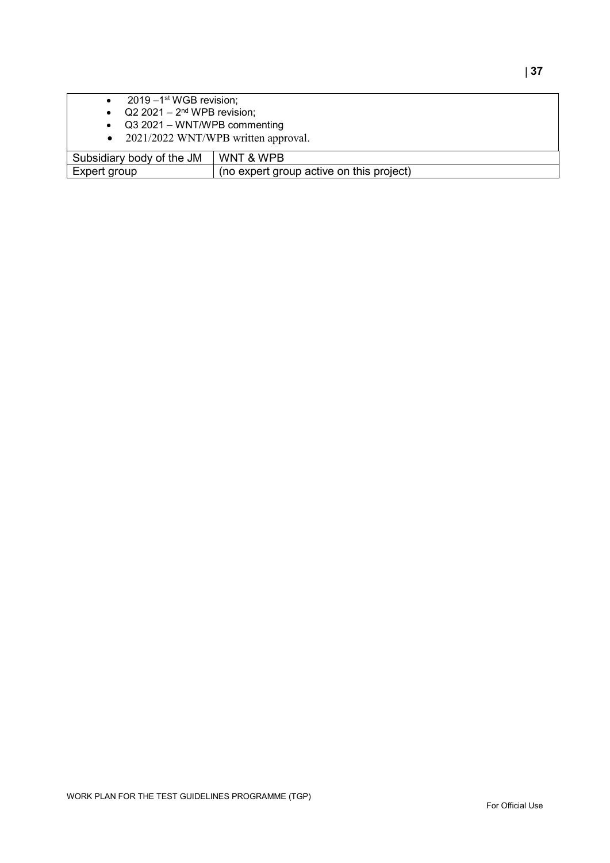| $2019 - 1$ <sup>st</sup> WGB revision;           |                                          |  |
|--------------------------------------------------|------------------------------------------|--|
| $Q2 2021 - 2nd WPB$ revision;                    |                                          |  |
| Q3 2021 - WNT/WPB commenting                     |                                          |  |
| 2021/2022 WNT/WPB written approval.<br>$\bullet$ |                                          |  |
|                                                  |                                          |  |
| Subsidiary body of the JM                        | WNT & WPB                                |  |
| Expert group                                     | (no expert group active on this project) |  |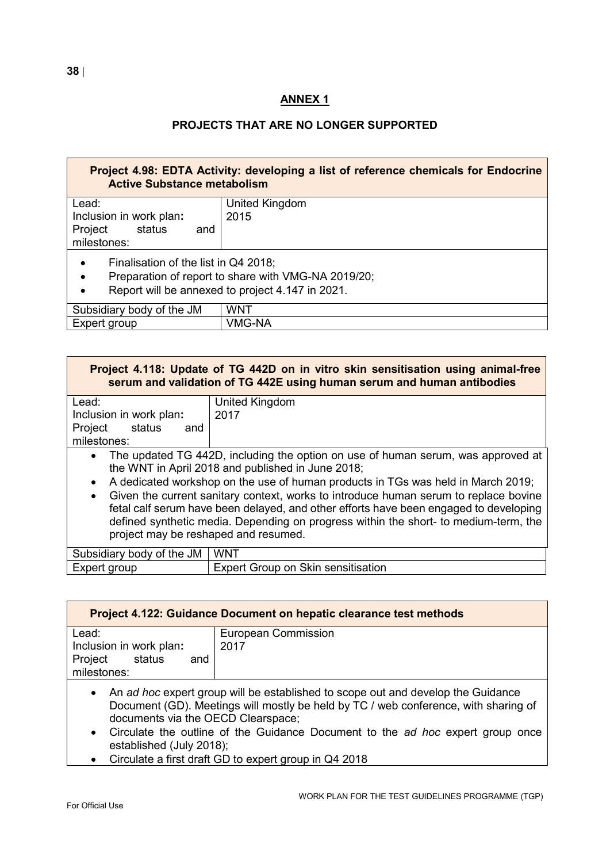# **ANNEX 1**

# **PROJECTS THAT ARE NO LONGER SUPPORTED**

| Project 4.98: EDTA Activity: developing a list of reference chemicals for Endocrine<br><b>Active Substance metabolism</b> |                                                                                                         |  |  |  |  |
|---------------------------------------------------------------------------------------------------------------------------|---------------------------------------------------------------------------------------------------------|--|--|--|--|
| Lead:                                                                                                                     | United Kingdom                                                                                          |  |  |  |  |
| Inclusion in work plan:                                                                                                   | 2015                                                                                                    |  |  |  |  |
| Project<br>status<br>and<br>milestones:                                                                                   |                                                                                                         |  |  |  |  |
| Finalisation of the list in Q4 2018;<br>$\bullet$<br>$\bullet$<br>$\bullet$                                               | Preparation of report to share with VMG-NA 2019/20;<br>Report will be annexed to project 4.147 in 2021. |  |  |  |  |
| Subsidiary body of the JM                                                                                                 | WNT                                                                                                     |  |  |  |  |
| Expert group                                                                                                              | VMG-NA                                                                                                  |  |  |  |  |

| Project 4.118: Update of TG 442D on in vitro skin sensitisation using animal-free<br>serum and validation of TG 442E using human serum and human antibodies |                                                                                                                                                                                                                                                                                                                                                                                                            |  |  |  |  |
|-------------------------------------------------------------------------------------------------------------------------------------------------------------|------------------------------------------------------------------------------------------------------------------------------------------------------------------------------------------------------------------------------------------------------------------------------------------------------------------------------------------------------------------------------------------------------------|--|--|--|--|
| Lead:                                                                                                                                                       | United Kingdom                                                                                                                                                                                                                                                                                                                                                                                             |  |  |  |  |
| Inclusion in work plan:                                                                                                                                     | 2017                                                                                                                                                                                                                                                                                                                                                                                                       |  |  |  |  |
| Project<br>status<br>and                                                                                                                                    |                                                                                                                                                                                                                                                                                                                                                                                                            |  |  |  |  |
| milestones:                                                                                                                                                 |                                                                                                                                                                                                                                                                                                                                                                                                            |  |  |  |  |
| $\bullet$<br>$\bullet$<br>$\bullet$                                                                                                                         | The updated TG 442D, including the option on use of human serum, was approved at<br>the WNT in April 2018 and published in June 2018;<br>A dedicated workshop on the use of human products in TGs was held in March 2019;<br>Given the current sanitary context, works to introduce human serum to replace bovine<br>fetal calf serum have been delayed, and other efforts have been engaged to developing |  |  |  |  |
| project may be reshaped and resumed.                                                                                                                        | defined synthetic media. Depending on progress within the short- to medium-term, the                                                                                                                                                                                                                                                                                                                       |  |  |  |  |
| Subsidiary body of the JM                                                                                                                                   | <b>WNT</b>                                                                                                                                                                                                                                                                                                                                                                                                 |  |  |  |  |
| Expert group                                                                                                                                                | Expert Group on Skin sensitisation                                                                                                                                                                                                                                                                                                                                                                         |  |  |  |  |

| <b>Project 4.122: Guidance Document on hepatic clearance test methods</b>   |                                    |  |  |  |  |  |
|-----------------------------------------------------------------------------|------------------------------------|--|--|--|--|--|
| Lead:<br>Inclusion in work plan:<br>Project<br>status<br>and<br>milestones: | <b>European Commission</b><br>2017 |  |  |  |  |  |

- An *ad hoc* expert group will be established to scope out and develop the Guidance Document (GD). Meetings will mostly be held by TC / web conference, with sharing of documents via the OECD Clearspace;
- Circulate the outline of the Guidance Document to the *ad hoc* expert group once established (July 2018);
- Circulate a first draft GD to expert group in Q4 2018